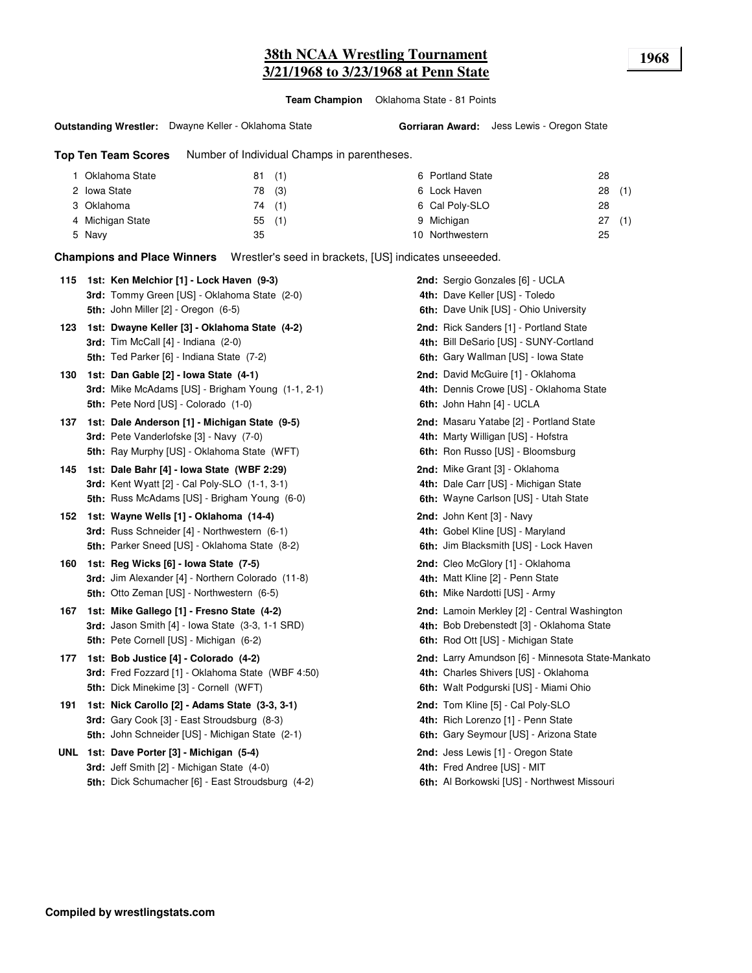## **38th NCAA Wrestling Tournament 1968 3/21/1968 to 3/23/1968 at Penn State**

**Team Champion** Oklahoma State - 81 Points

#### **Outstanding Wrestler:** Dwayne Keller - Oklahoma State

**Gorriaran Award:** Jess Lewis - Oregon State

**Top Ten Team Scores** Number of Individual Champs in parentheses.

| Oklahoma State   | (1)<br>81 | 6 Portland State | 28    |
|------------------|-----------|------------------|-------|
| 2 Iowa State     | 78 (3)    | 6 Lock Haven     | 28(1) |
| 3 Oklahoma       | 74 (1)    | 6 Cal Poly-SLO   | 28    |
| 4 Michigan State | 55(1)     | 9 Michigan       | 27(1) |
| 5 Navy           | 35        | 10 Northwestern  | 25    |

**Champions and Place Winners** Wrestler's seed in brackets, [US] indicates unseeeded.

|     | 115 1st: Ken Melchior [1] - Lock Haven (9-3)         | 2nd: Sergio Gonzales [6] - UCLA                   |
|-----|------------------------------------------------------|---------------------------------------------------|
|     | 3rd: Tommy Green [US] - Oklahoma State (2-0)         | 4th: Dave Keller [US] - Toledo                    |
|     | 5th: John Miller [2] - Oregon (6-5)                  | 6th: Dave Unik [US] - Ohio University             |
| 123 | 1st: Dwayne Keller [3] - Oklahoma State (4-2)        | 2nd: Rick Sanders [1] - Portland State            |
|     | <b>3rd:</b> Tim McCall $[4]$ - Indiana $(2-0)$       | 4th: Bill DeSario [US] - SUNY-Cortland            |
|     | 5th: Ted Parker [6] - Indiana State (7-2)            | 6th: Gary Wallman [US] - Iowa State               |
| 130 | 1st: Dan Gable [2] - Iowa State (4-1)                | 2nd: David McGuire [1] - Oklahoma                 |
|     | 3rd: Mike McAdams [US] - Brigham Young (1-1, 2-1)    | 4th: Dennis Crowe [US] - Oklahoma State           |
|     | 5th: Pete Nord [US] - Colorado (1-0)                 | 6th: John Hahn [4] - UCLA                         |
| 137 | 1st: Dale Anderson [1] - Michigan State (9-5)        | 2nd: Masaru Yatabe [2] - Portland State           |
|     | 3rd: Pete Vanderlofske [3] - Navy (7-0)              | 4th: Marty Willigan [US] - Hofstra                |
|     | 5th: Ray Murphy [US] - Oklahoma State (WFT)          | 6th: Ron Russo [US] - Bloomsburg                  |
| 145 | 1st: Dale Bahr [4] - Iowa State (WBF 2:29)           | 2nd: Mike Grant [3] - Oklahoma                    |
|     | <b>3rd:</b> Kent Wyatt [2] - Cal Poly-SLO (1-1, 3-1) | 4th: Dale Carr [US] - Michigan State              |
|     | <b>5th:</b> Russ McAdams [US] - Brigham Young (6-0)  | 6th: Wayne Carlson [US] - Utah State              |
| 152 | 1st: Wayne Wells [1] - Oklahoma (14-4)               | 2nd: John Kent [3] - Navy                         |
|     | 3rd: Russ Schneider [4] - Northwestern (6-1)         | 4th: Gobel Kline [US] - Maryland                  |
|     | 5th: Parker Sneed [US] - Oklahoma State (8-2)        | 6th: Jim Blacksmith [US] - Lock Haven             |
| 160 | 1st: Reg Wicks [6] - Iowa State (7-5)                | 2nd: Cleo McGlory [1] - Oklahoma                  |
|     | 3rd: Jim Alexander [4] - Northern Colorado (11-8)    | 4th: Matt Kline [2] - Penn State                  |
|     | 5th: Otto Zeman [US] - Northwestern (6-5)            | 6th: Mike Nardotti [US] - Army                    |
| 167 | 1st: Mike Gallego [1] - Fresno State (4-2)           | 2nd: Lamoin Merkley [2] - Central Washington      |
|     | 3rd: Jason Smith [4] - Iowa State (3-3, 1-1 SRD)     | 4th: Bob Drebenstedt [3] - Oklahoma State         |
|     | 5th: Pete Cornell [US] - Michigan (6-2)              | 6th: Rod Ott [US] - Michigan State                |
| 177 | 1st: Bob Justice [4] - Colorado (4-2)                | 2nd: Larry Amundson [6] - Minnesota State-Mankato |
|     | 3rd: Fred Fozzard [1] - Oklahoma State (WBF 4:50)    | 4th: Charles Shivers [US] - Oklahoma              |
|     | 5th: Dick Minekime [3] - Cornell (WFT)               | 6th: Walt Podgurski [US] - Miami Ohio             |
| 191 | 1st: Nick Carollo [2] - Adams State (3-3, 3-1)       | 2nd: Tom Kline [5] - Cal Poly-SLO                 |
|     | 3rd: Gary Cook [3] - East Stroudsburg (8-3)          | 4th: Rich Lorenzo [1] - Penn State                |
|     | 5th: John Schneider [US] - Michigan State (2-1)      | 6th: Gary Seymour [US] - Arizona State            |
|     | UNL 1st: Dave Porter [3] - Michigan (5-4)            | 2nd: Jess Lewis [1] - Oregon State                |
|     | 3rd: Jeff Smith [2] - Michigan State (4-0)           | 4th: Fred Andree [US] - MIT                       |
|     | 5th: Dick Schumacher [6] - East Stroudsburg (4-2)    | 6th: Al Borkowski [US] - Northwest Missouri       |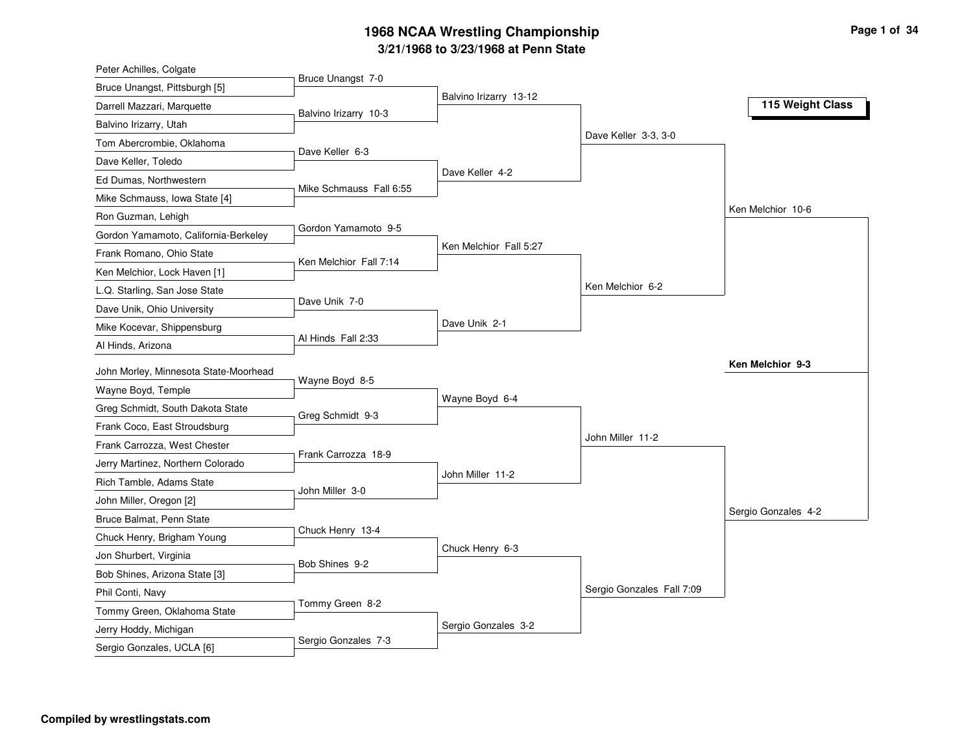| Bruce Unangst 7-0<br>Bruce Unangst, Pittsburgh [5]<br>Balvino Irizarry 13-12<br>115 Weight Class<br>Darrell Mazzari, Marquette<br>Balvino Irizarry 10-3<br>Balvino Irizarry, Utah<br>Dave Keller 3-3, 3-0<br>Tom Abercrombie, Oklahoma<br>Dave Keller 6-3<br>Dave Keller, Toledo<br>Dave Keller 4-2<br>Ed Dumas, Northwestern<br>Mike Schmauss Fall 6:55<br>Mike Schmauss, Iowa State [4]<br>Ken Melchior 10-6<br>Ron Guzman, Lehigh<br>Gordon Yamamoto 9-5<br>Gordon Yamamoto, California-Berkeley<br>Ken Melchior Fall 5:27<br>Frank Romano, Ohio State<br>Ken Melchior Fall 7:14<br>Ken Melchior, Lock Haven [1]<br>Ken Melchior 6-2<br>L.Q. Starling, San Jose State<br>Dave Unik 7-0<br>Dave Unik, Ohio University<br>Dave Unik 2-1<br>Mike Kocevar, Shippensburg |
|------------------------------------------------------------------------------------------------------------------------------------------------------------------------------------------------------------------------------------------------------------------------------------------------------------------------------------------------------------------------------------------------------------------------------------------------------------------------------------------------------------------------------------------------------------------------------------------------------------------------------------------------------------------------------------------------------------------------------------------------------------------------|
|                                                                                                                                                                                                                                                                                                                                                                                                                                                                                                                                                                                                                                                                                                                                                                        |
|                                                                                                                                                                                                                                                                                                                                                                                                                                                                                                                                                                                                                                                                                                                                                                        |
|                                                                                                                                                                                                                                                                                                                                                                                                                                                                                                                                                                                                                                                                                                                                                                        |
|                                                                                                                                                                                                                                                                                                                                                                                                                                                                                                                                                                                                                                                                                                                                                                        |
|                                                                                                                                                                                                                                                                                                                                                                                                                                                                                                                                                                                                                                                                                                                                                                        |
|                                                                                                                                                                                                                                                                                                                                                                                                                                                                                                                                                                                                                                                                                                                                                                        |
|                                                                                                                                                                                                                                                                                                                                                                                                                                                                                                                                                                                                                                                                                                                                                                        |
|                                                                                                                                                                                                                                                                                                                                                                                                                                                                                                                                                                                                                                                                                                                                                                        |
|                                                                                                                                                                                                                                                                                                                                                                                                                                                                                                                                                                                                                                                                                                                                                                        |
|                                                                                                                                                                                                                                                                                                                                                                                                                                                                                                                                                                                                                                                                                                                                                                        |
|                                                                                                                                                                                                                                                                                                                                                                                                                                                                                                                                                                                                                                                                                                                                                                        |
|                                                                                                                                                                                                                                                                                                                                                                                                                                                                                                                                                                                                                                                                                                                                                                        |
|                                                                                                                                                                                                                                                                                                                                                                                                                                                                                                                                                                                                                                                                                                                                                                        |
|                                                                                                                                                                                                                                                                                                                                                                                                                                                                                                                                                                                                                                                                                                                                                                        |
| Al Hinds Fall 2:33<br>Al Hinds, Arizona                                                                                                                                                                                                                                                                                                                                                                                                                                                                                                                                                                                                                                                                                                                                |
| Ken Melchior 9-3<br>John Morley, Minnesota State-Moorhead                                                                                                                                                                                                                                                                                                                                                                                                                                                                                                                                                                                                                                                                                                              |
| Wayne Boyd 8-5<br>Wayne Boyd, Temple                                                                                                                                                                                                                                                                                                                                                                                                                                                                                                                                                                                                                                                                                                                                   |
| Wayne Boyd 6-4<br>Greg Schmidt, South Dakota State                                                                                                                                                                                                                                                                                                                                                                                                                                                                                                                                                                                                                                                                                                                     |
| Greg Schmidt 9-3<br>Frank Coco, East Stroudsburg                                                                                                                                                                                                                                                                                                                                                                                                                                                                                                                                                                                                                                                                                                                       |
| John Miller 11-2<br>Frank Carrozza, West Chester                                                                                                                                                                                                                                                                                                                                                                                                                                                                                                                                                                                                                                                                                                                       |
| Frank Carrozza 18-9<br>Jerry Martinez, Northern Colorado                                                                                                                                                                                                                                                                                                                                                                                                                                                                                                                                                                                                                                                                                                               |
| John Miller 11-2<br>Rich Tamble, Adams State                                                                                                                                                                                                                                                                                                                                                                                                                                                                                                                                                                                                                                                                                                                           |
| John Miller 3-0<br>John Miller, Oregon [2]                                                                                                                                                                                                                                                                                                                                                                                                                                                                                                                                                                                                                                                                                                                             |
| Sergio Gonzales 4-2<br>Bruce Balmat, Penn State                                                                                                                                                                                                                                                                                                                                                                                                                                                                                                                                                                                                                                                                                                                        |
| Chuck Henry 13-4<br>Chuck Henry, Brigham Young                                                                                                                                                                                                                                                                                                                                                                                                                                                                                                                                                                                                                                                                                                                         |
| Chuck Henry 6-3<br>Jon Shurbert, Virginia                                                                                                                                                                                                                                                                                                                                                                                                                                                                                                                                                                                                                                                                                                                              |
| Bob Shines 9-2                                                                                                                                                                                                                                                                                                                                                                                                                                                                                                                                                                                                                                                                                                                                                         |
| Bob Shines, Arizona State [3]<br>Sergio Gonzales Fall 7:09                                                                                                                                                                                                                                                                                                                                                                                                                                                                                                                                                                                                                                                                                                             |
| Phil Conti, Navy<br>Tommy Green 8-2                                                                                                                                                                                                                                                                                                                                                                                                                                                                                                                                                                                                                                                                                                                                    |
| Tommy Green, Oklahoma State<br>Sergio Gonzales 3-2                                                                                                                                                                                                                                                                                                                                                                                                                                                                                                                                                                                                                                                                                                                     |
| Jerry Hoddy, Michigan<br>Sergio Gonzales 7-3<br>Sergio Gonzales, UCLA [6]                                                                                                                                                                                                                                                                                                                                                                                                                                                                                                                                                                                                                                                                                              |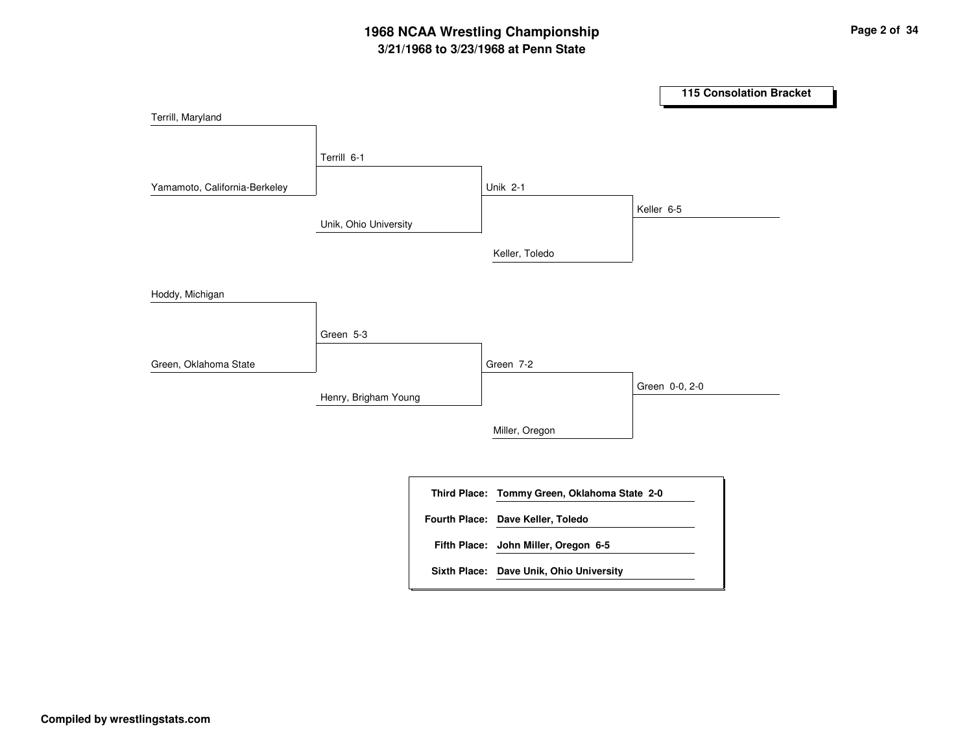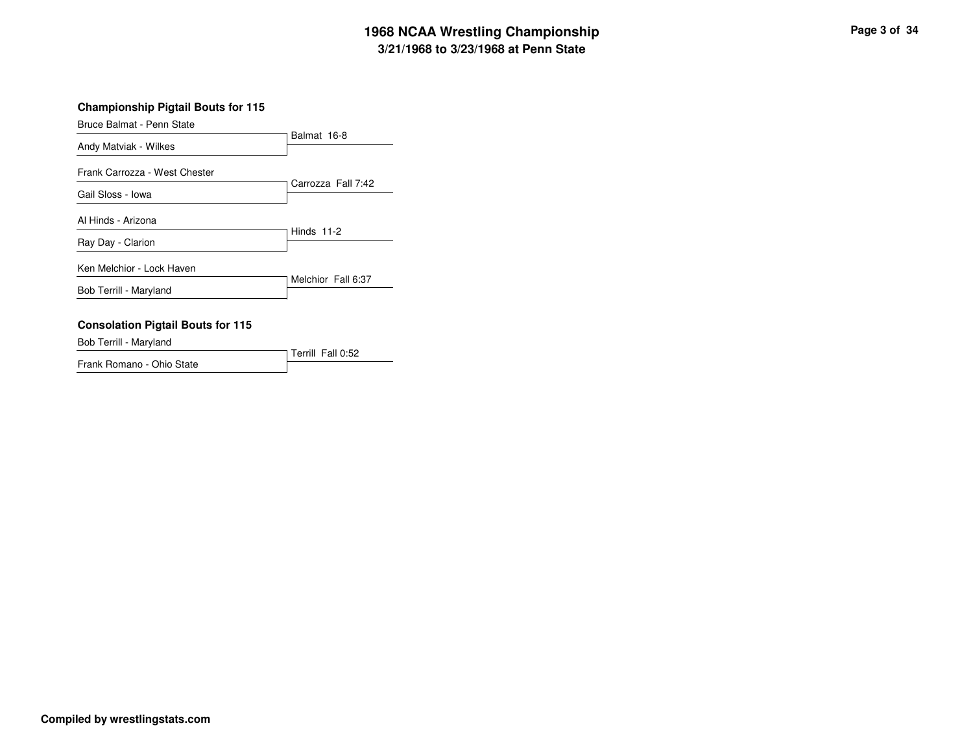Bruce Balmat - Penn State

| Andy Matviak - Wilkes         | Balmat 16-8        |
|-------------------------------|--------------------|
| Frank Carrozza - West Chester | Carrozza Fall 7:42 |
| Gail Sloss - Iowa             |                    |
| Al Hinds - Arizona            |                    |
| Ray Day - Clarion             | Hinds $11-2$       |
| Ken Melchior - Lock Haven     |                    |
| Bob Terrill - Maryland        | Melchior Fall 6:37 |
|                               |                    |

### **Consolation Pigtail Bouts for 115**

Bob Terrill - Maryland

Terrill Fall 0:52Frank Romano - Ohio State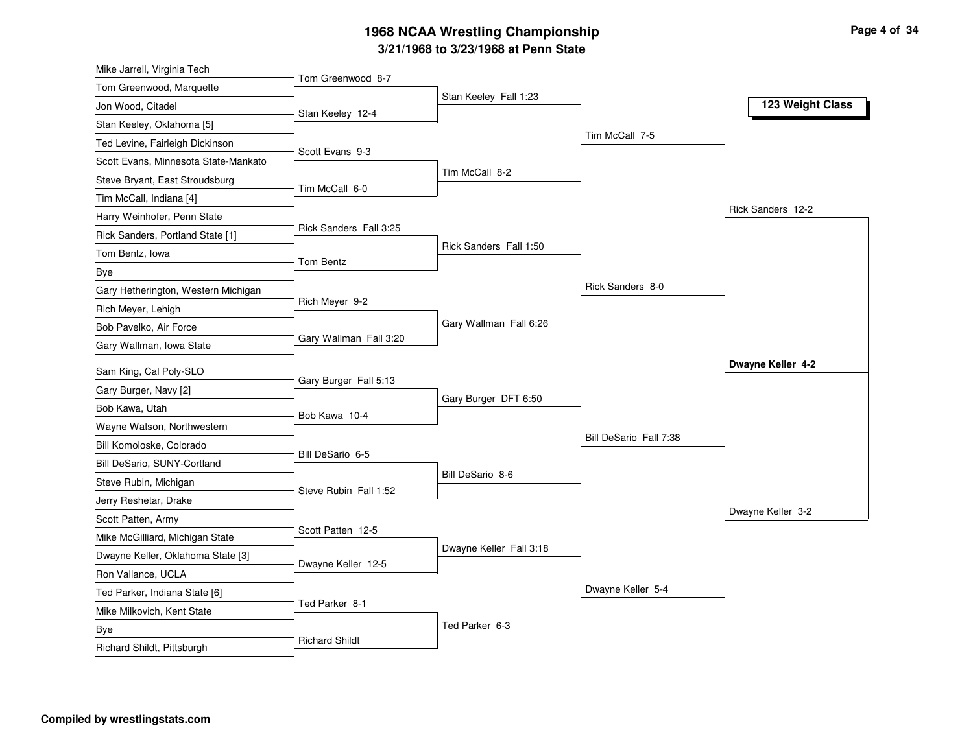| Mike Jarrell, Virginia Tech                                          |                        |                         |                        |                   |
|----------------------------------------------------------------------|------------------------|-------------------------|------------------------|-------------------|
| Tom Greenwood, Marquette                                             | Tom Greenwood 8-7      |                         |                        |                   |
| Jon Wood, Citadel                                                    | Stan Keeley 12-4       | Stan Keeley Fall 1:23   |                        | 123 Weight Class  |
| Stan Keeley, Oklahoma [5]                                            |                        |                         |                        |                   |
| Ted Levine, Fairleigh Dickinson                                      |                        |                         | Tim McCall 7-5         |                   |
| Scott Evans, Minnesota State-Mankato                                 | Scott Evans 9-3        |                         |                        |                   |
| Steve Bryant, East Stroudsburg                                       |                        | Tim McCall 8-2          |                        |                   |
| Tim McCall, Indiana [4]                                              | Tim McCall 6-0         |                         |                        |                   |
| Harry Weinhofer, Penn State                                          |                        |                         |                        | Rick Sanders 12-2 |
| Rick Sanders, Portland State [1]                                     | Rick Sanders Fall 3:25 |                         |                        |                   |
| Tom Bentz, Iowa                                                      |                        | Rick Sanders Fall 1:50  |                        |                   |
| Bye                                                                  | Tom Bentz              |                         |                        |                   |
| Gary Hetherington, Western Michigan                                  |                        |                         | Rick Sanders 8-0       |                   |
| Rich Meyer, Lehigh                                                   | Rich Meyer 9-2         |                         |                        |                   |
| Bob Pavelko, Air Force                                               |                        | Gary Wallman Fall 6:26  |                        |                   |
| Gary Wallman, Iowa State                                             | Gary Wallman Fall 3:20 |                         |                        |                   |
| Sam King, Cal Poly-SLO                                               |                        |                         |                        | Dwayne Keller 4-2 |
| Gary Burger, Navy [2]                                                | Gary Burger Fall 5:13  |                         |                        |                   |
| Bob Kawa, Utah                                                       |                        | Gary Burger DFT 6:50    |                        |                   |
| Wayne Watson, Northwestern                                           | Bob Kawa 10-4          |                         |                        |                   |
| Bill Komoloske, Colorado                                             |                        |                         | Bill DeSario Fall 7:38 |                   |
|                                                                      | Bill DeSario 6-5       |                         |                        |                   |
| Bill DeSario, SUNY-Cortland                                          |                        | Bill DeSario 8-6        |                        |                   |
| Steve Rubin, Michigan                                                | Steve Rubin Fall 1:52  |                         |                        |                   |
| Jerry Reshetar, Drake                                                |                        |                         |                        | Dwayne Keller 3-2 |
| Scott Patten, Army                                                   | Scott Patten 12-5      |                         |                        |                   |
| Mike McGilliard, Michigan State<br>Dwayne Keller, Oklahoma State [3] |                        | Dwayne Keller Fall 3:18 |                        |                   |
|                                                                      |                        |                         |                        |                   |
|                                                                      | Dwayne Keller 12-5     |                         |                        |                   |
| Ron Vallance, UCLA                                                   |                        |                         |                        |                   |
| Ted Parker, Indiana State [6]                                        | Ted Parker 8-1         |                         | Dwayne Keller 5-4      |                   |
| Mike Milkovich, Kent State                                           |                        |                         |                        |                   |
| Bye<br>Richard Shildt, Pittsburgh                                    | <b>Richard Shildt</b>  | Ted Parker 6-3          |                        |                   |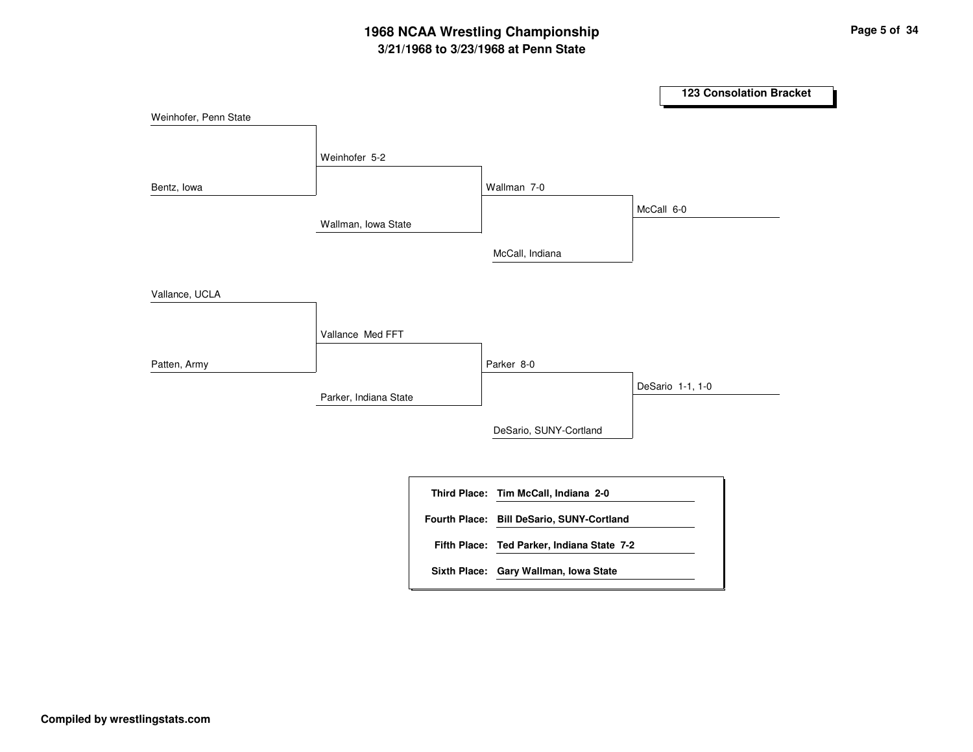|                       |                       |                      |                                            |                  | 123 Consolation Bracket |
|-----------------------|-----------------------|----------------------|--------------------------------------------|------------------|-------------------------|
| Weinhofer, Penn State |                       |                      |                                            |                  |                         |
|                       | Weinhofer 5-2         |                      |                                            |                  |                         |
| Bentz, lowa           |                       |                      | Wallman 7-0                                |                  |                         |
|                       | Wallman, Iowa State   |                      |                                            | McCall 6-0       |                         |
|                       |                       |                      | McCall, Indiana                            |                  |                         |
| Vallance, UCLA        |                       |                      |                                            |                  |                         |
|                       | Vallance Med FFT      |                      |                                            |                  |                         |
| Patten, Army          |                       |                      | Parker 8-0                                 |                  |                         |
|                       | Parker, Indiana State |                      |                                            | DeSario 1-1, 1-0 |                         |
|                       |                       |                      | DeSario, SUNY-Cortland                     |                  |                         |
|                       |                       |                      |                                            |                  |                         |
|                       |                       |                      | Third Place: Tim McCall, Indiana 2-0       |                  |                         |
|                       |                       | <b>Fourth Place:</b> | <b>Bill DeSario, SUNY-Cortland</b>         |                  |                         |
|                       |                       |                      | Fifth Place: Ted Parker, Indiana State 7-2 |                  |                         |
|                       |                       |                      | Sixth Place: Gary Wallman, Iowa State      |                  |                         |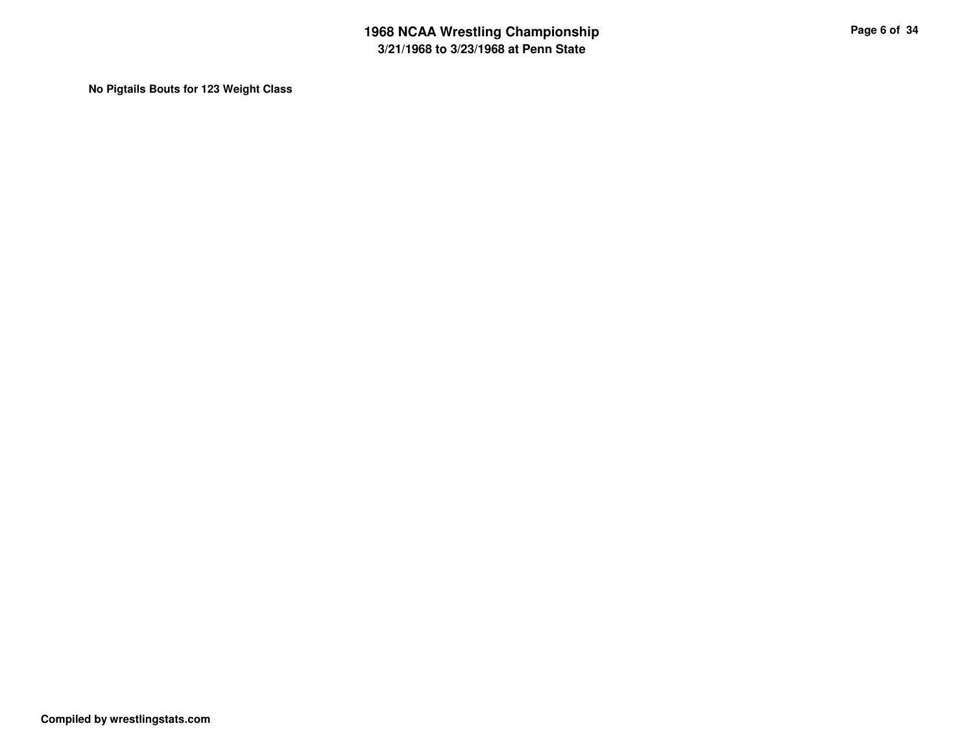**No Pigtails Bouts for 123 Weight Class**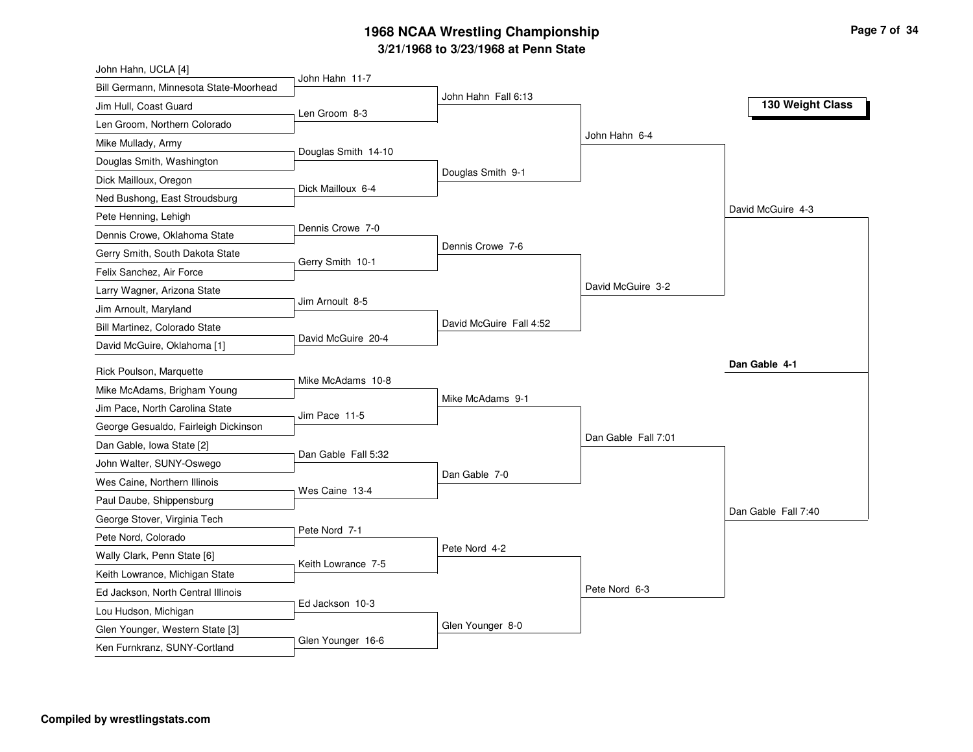| John Hahn, UCLA [4]                    |                     |                         |                     |                     |
|----------------------------------------|---------------------|-------------------------|---------------------|---------------------|
| Bill Germann, Minnesota State-Moorhead | John Hahn 11-7      |                         |                     |                     |
| Jim Hull, Coast Guard                  | Len Groom 8-3       | John Hahn Fall 6:13     |                     | 130 Weight Class    |
| Len Groom, Northern Colorado           |                     |                         |                     |                     |
| Mike Mullady, Army                     |                     |                         | John Hahn 6-4       |                     |
| Douglas Smith, Washington              | Douglas Smith 14-10 |                         |                     |                     |
| Dick Mailloux, Oregon                  |                     | Douglas Smith 9-1       |                     |                     |
| Ned Bushong, East Stroudsburg          | Dick Mailloux 6-4   |                         |                     |                     |
| Pete Henning, Lehigh                   |                     |                         |                     | David McGuire 4-3   |
| Dennis Crowe, Oklahoma State           | Dennis Crowe 7-0    |                         |                     |                     |
| Gerry Smith, South Dakota State        |                     | Dennis Crowe 7-6        |                     |                     |
| Felix Sanchez, Air Force               | Gerry Smith 10-1    |                         |                     |                     |
| Larry Wagner, Arizona State            |                     |                         | David McGuire 3-2   |                     |
| Jim Arnoult, Maryland                  | Jim Arnoult 8-5     |                         |                     |                     |
| Bill Martinez, Colorado State          |                     | David McGuire Fall 4:52 |                     |                     |
| David McGuire, Oklahoma [1]            | David McGuire 20-4  |                         |                     |                     |
| Rick Poulson, Marquette                |                     |                         |                     | Dan Gable 4-1       |
| Mike McAdams, Brigham Young            | Mike McAdams 10-8   |                         |                     |                     |
| Jim Pace, North Carolina State         |                     | Mike McAdams 9-1        |                     |                     |
| George Gesualdo, Fairleigh Dickinson   | Jim Pace 11-5       |                         |                     |                     |
| Dan Gable, Iowa State [2]              |                     |                         | Dan Gable Fall 7:01 |                     |
| John Walter, SUNY-Oswego               | Dan Gable Fall 5:32 |                         |                     |                     |
| Wes Caine, Northern Illinois           |                     | Dan Gable 7-0           |                     |                     |
| Paul Daube, Shippensburg               | Wes Caine 13-4      |                         |                     |                     |
| George Stover, Virginia Tech           |                     |                         |                     | Dan Gable Fall 7:40 |
| Pete Nord, Colorado                    | Pete Nord 7-1       |                         |                     |                     |
| Wally Clark, Penn State [6]            |                     | Pete Nord 4-2           |                     |                     |
| Keith Lowrance, Michigan State         | Keith Lowrance 7-5  |                         |                     |                     |
| Ed Jackson, North Central Illinois     |                     |                         | Pete Nord 6-3       |                     |
| Lou Hudson, Michigan                   | Ed Jackson 10-3     |                         |                     |                     |
| Glen Younger, Western State [3]        |                     | Glen Younger 8-0        |                     |                     |
| Ken Furnkranz, SUNY-Cortland           | Glen Younger 16-6   |                         |                     |                     |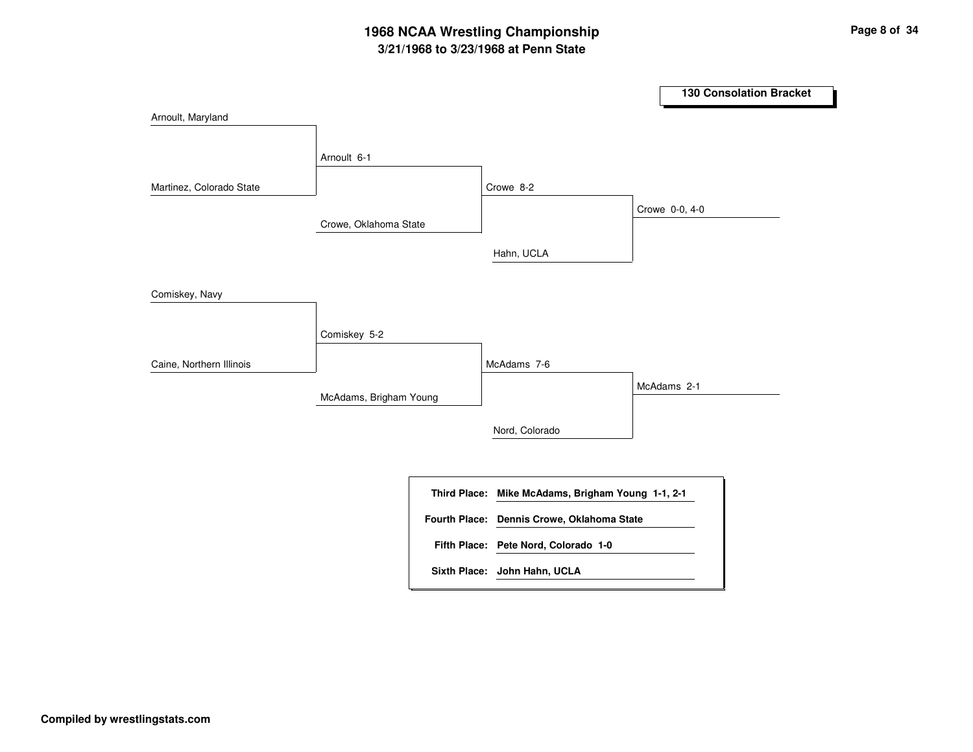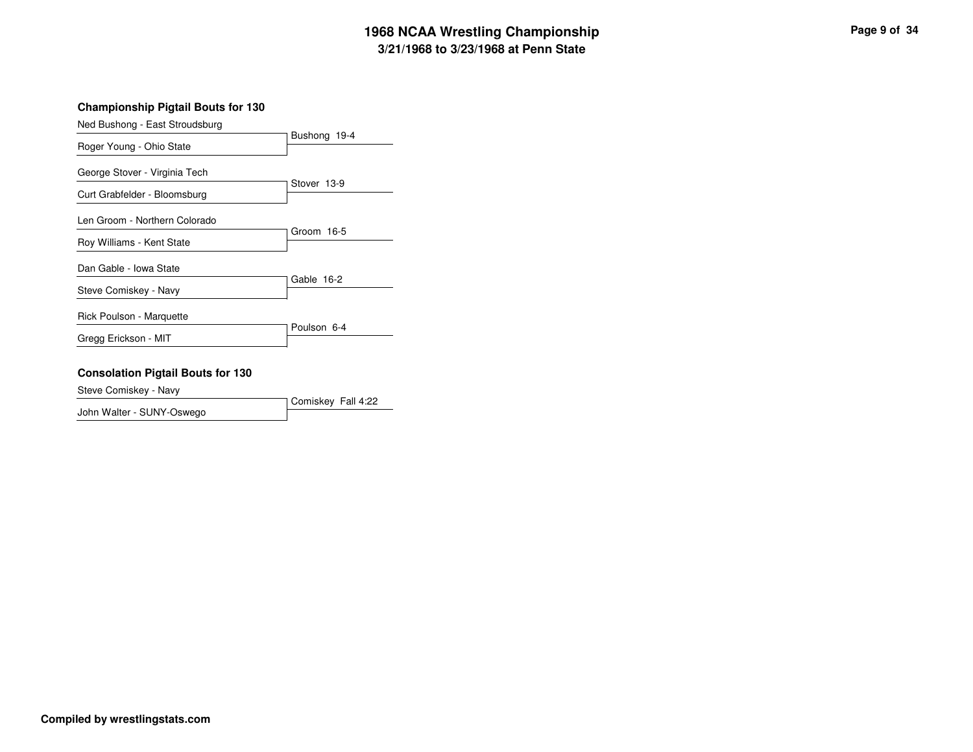### **Championship Pigtail Bouts for 130**

| Ned Bushong - East Stroudsburg |              |  |
|--------------------------------|--------------|--|
| Roger Young - Ohio State       | Bushong 19-4 |  |
| George Stover - Virginia Tech  | Stover 13-9  |  |
| Curt Grabfelder - Bloomsburg   |              |  |
| Len Groom - Northern Colorado  |              |  |
| Roy Williams - Kent State      | Groom 16-5   |  |
| Dan Gable - Iowa State         |              |  |
| Steve Comiskey - Navy          | Gable 16-2   |  |
| Rick Poulson - Marquette       |              |  |
| Gregg Erickson - MIT           | Poulson 6-4  |  |
|                                |              |  |

### **Consolation Pigtail Bouts for 130**

Steve Comiskey - Navy

Comiskey Fall 4:22John Walter - SUNY-Oswego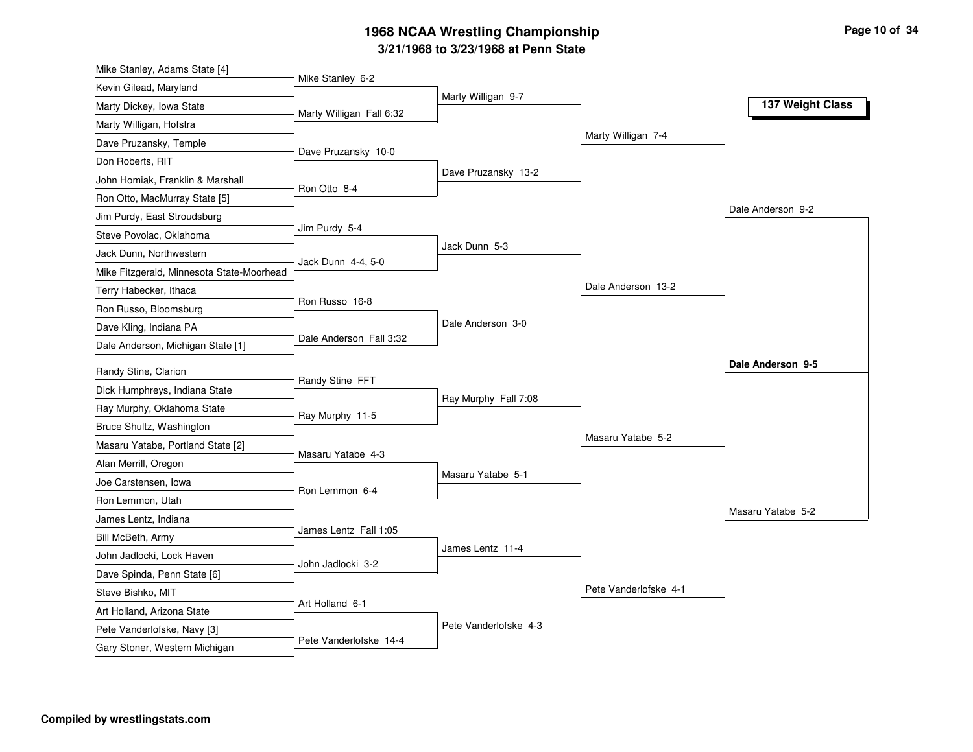| Mike Stanley, Adams State [4]                         |                          |                       |                       |                   |
|-------------------------------------------------------|--------------------------|-----------------------|-----------------------|-------------------|
| Kevin Gilead, Maryland                                | Mike Stanley 6-2         |                       |                       |                   |
| Marty Dickey, Iowa State                              | Marty Willigan Fall 6:32 | Marty Willigan 9-7    |                       | 137 Weight Class  |
| Marty Willigan, Hofstra                               |                          |                       |                       |                   |
| Dave Pruzansky, Temple                                |                          |                       | Marty Willigan 7-4    |                   |
| Don Roberts, RIT                                      | Dave Pruzansky 10-0      |                       |                       |                   |
| John Homiak, Franklin & Marshall                      |                          | Dave Pruzansky 13-2   |                       |                   |
| Ron Otto, MacMurray State [5]                         | Ron Otto 8-4             |                       |                       |                   |
| Jim Purdy, East Stroudsburg                           |                          |                       |                       | Dale Anderson 9-2 |
| Steve Povolac, Oklahoma                               | Jim Purdy 5-4            |                       |                       |                   |
| Jack Dunn, Northwestern                               |                          | Jack Dunn 5-3         |                       |                   |
| Mike Fitzgerald, Minnesota State-Moorhead             | Jack Dunn 4-4, 5-0       |                       |                       |                   |
| Terry Habecker, Ithaca                                |                          |                       | Dale Anderson 13-2    |                   |
| Ron Russo, Bloomsburg                                 | Ron Russo 16-8           |                       |                       |                   |
| Dave Kling, Indiana PA                                |                          | Dale Anderson 3-0     |                       |                   |
| Dale Anderson, Michigan State [1]                     | Dale Anderson Fall 3:32  |                       |                       |                   |
|                                                       |                          |                       |                       | Dale Anderson 9-5 |
| Randy Stine, Clarion<br>Dick Humphreys, Indiana State | Randy Stine FFT          |                       |                       |                   |
|                                                       |                          | Ray Murphy Fall 7:08  |                       |                   |
| Ray Murphy, Oklahoma State                            | Ray Murphy 11-5          |                       |                       |                   |
| Bruce Shultz, Washington                              |                          |                       | Masaru Yatabe 5-2     |                   |
| Masaru Yatabe, Portland State [2]                     | Masaru Yatabe 4-3        |                       |                       |                   |
| Alan Merrill, Oregon                                  |                          | Masaru Yatabe 5-1     |                       |                   |
| Joe Carstensen, Iowa                                  | Ron Lemmon 6-4           |                       |                       |                   |
| Ron Lemmon, Utah                                      |                          |                       |                       | Masaru Yatabe 5-2 |
| James Lentz, Indiana                                  | James Lentz Fall 1:05    |                       |                       |                   |
| Bill McBeth, Army                                     |                          | James Lentz 11-4      |                       |                   |
| John Jadlocki, Lock Haven                             | John Jadlocki 3-2        |                       |                       |                   |
| Dave Spinda, Penn State [6]                           |                          |                       | Pete Vanderlofske 4-1 |                   |
| Steve Bishko, MIT                                     | Art Holland 6-1          |                       |                       |                   |
| Art Holland, Arizona State                            |                          | Pete Vanderlofske 4-3 |                       |                   |
| Pete Vanderlofske, Navy [3]                           | Pete Vanderlofske 14-4   |                       |                       |                   |
| Gary Stoner, Western Michigan                         |                          |                       |                       |                   |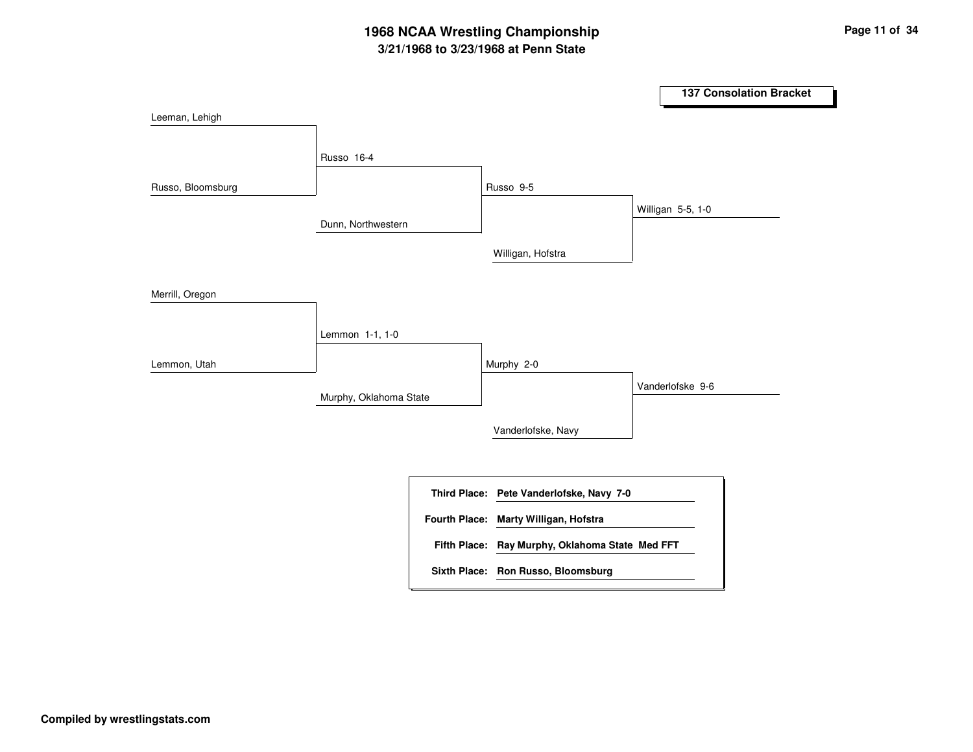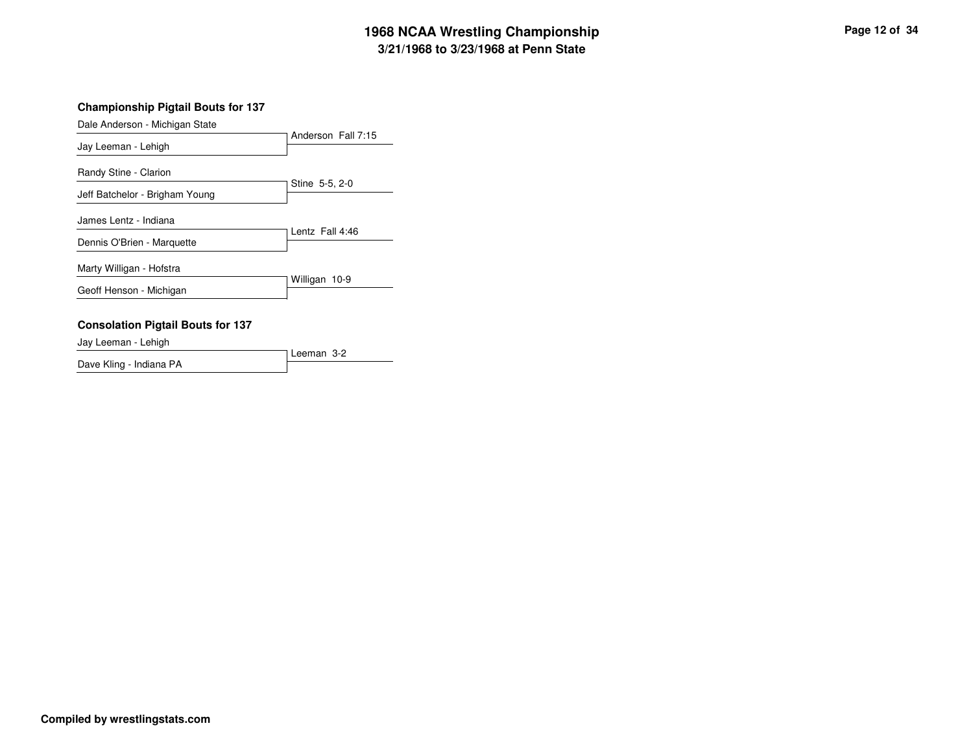### **Championship Pigtail Bouts for 137**

| Dale Anderson - Michigan State           |                    |
|------------------------------------------|--------------------|
|                                          | Anderson Fall 7:15 |
| Jay Leeman - Lehigh                      |                    |
| Randy Stine - Clarion                    |                    |
| Jeff Batchelor - Brigham Young           | Stine 5-5, 2-0     |
| James Lentz - Indiana                    |                    |
| Dennis O'Brien - Marquette               | Lentz Fall 4:46    |
| Marty Willigan - Hofstra                 |                    |
| Geoff Henson - Michigan                  | Willigan 10-9      |
| <b>Consolation Pigtail Bouts for 137</b> |                    |

Jay Leeman - Lehigh

Leeman 3-2Dave Kling - Indiana PA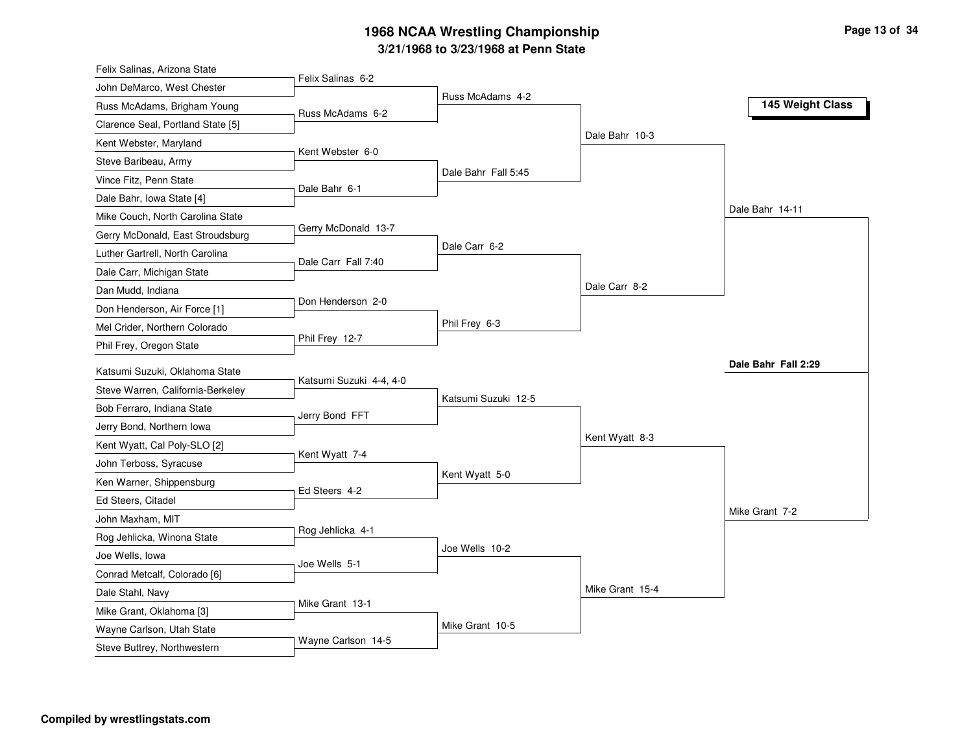| Felix Salinas, Arizona State                          |                         |                     |                 |                     |
|-------------------------------------------------------|-------------------------|---------------------|-----------------|---------------------|
| John DeMarco, West Chester                            | Felix Salinas 6-2       |                     |                 |                     |
| Russ McAdams, Brigham Young                           | Russ McAdams 6-2        | Russ McAdams 4-2    |                 | 145 Weight Class    |
| Clarence Seal, Portland State [5]                     |                         |                     |                 |                     |
| Kent Webster, Maryland                                |                         |                     | Dale Bahr 10-3  |                     |
| Steve Baribeau, Army                                  | Kent Webster 6-0        |                     |                 |                     |
| Vince Fitz, Penn State                                |                         | Dale Bahr Fall 5:45 |                 |                     |
| Dale Bahr, Iowa State [4]                             | Dale Bahr 6-1           |                     |                 |                     |
| Mike Couch, North Carolina State                      |                         |                     |                 | Dale Bahr 14-11     |
| Gerry McDonald, East Stroudsburg                      | Gerry McDonald 13-7     |                     |                 |                     |
| Luther Gartrell, North Carolina                       |                         | Dale Carr 6-2       |                 |                     |
| Dale Carr, Michigan State                             | Dale Carr Fall 7:40     |                     |                 |                     |
| Dan Mudd, Indiana                                     |                         |                     | Dale Carr 8-2   |                     |
| Don Henderson, Air Force [1]                          | Don Henderson 2-0       |                     |                 |                     |
| Mel Crider, Northern Colorado                         |                         | Phil Frey 6-3       |                 |                     |
| Phil Frey, Oregon State                               | Phil Frey 12-7          |                     |                 |                     |
| Katsumi Suzuki, Oklahoma State                        |                         |                     |                 | Dale Bahr Fall 2:29 |
| Steve Warren, California-Berkeley                     | Katsumi Suzuki 4-4, 4-0 |                     |                 |                     |
| Bob Ferraro, Indiana State                            |                         | Katsumi Suzuki 12-5 |                 |                     |
| Jerry Bond, Northern Iowa                             | Jerry Bond FFT          |                     |                 |                     |
| Kent Wyatt, Cal Poly-SLO [2]                          |                         |                     | Kent Wyatt 8-3  |                     |
| John Terboss, Syracuse                                | Kent Wyatt 7-4          |                     |                 |                     |
| Ken Warner, Shippensburg                              |                         | Kent Wyatt 5-0      |                 |                     |
| Ed Steers, Citadel                                    | Ed Steers 4-2           |                     |                 |                     |
| John Maxham, MIT                                      |                         |                     |                 | Mike Grant 7-2      |
| Rog Jehlicka, Winona State                            | Rog Jehlicka 4-1        |                     |                 |                     |
| Joe Wells, lowa                                       |                         | Joe Wells 10-2      |                 |                     |
| Conrad Metcalf, Colorado [6]                          | Joe Wells 5-1           |                     |                 |                     |
|                                                       |                         |                     | Mike Grant 15-4 |                     |
| Dale Stahl, Navy                                      |                         |                     |                 |                     |
|                                                       | Mike Grant 13-1         |                     |                 |                     |
| Mike Grant, Oklahoma [3]<br>Wayne Carlson, Utah State |                         | Mike Grant 10-5     |                 |                     |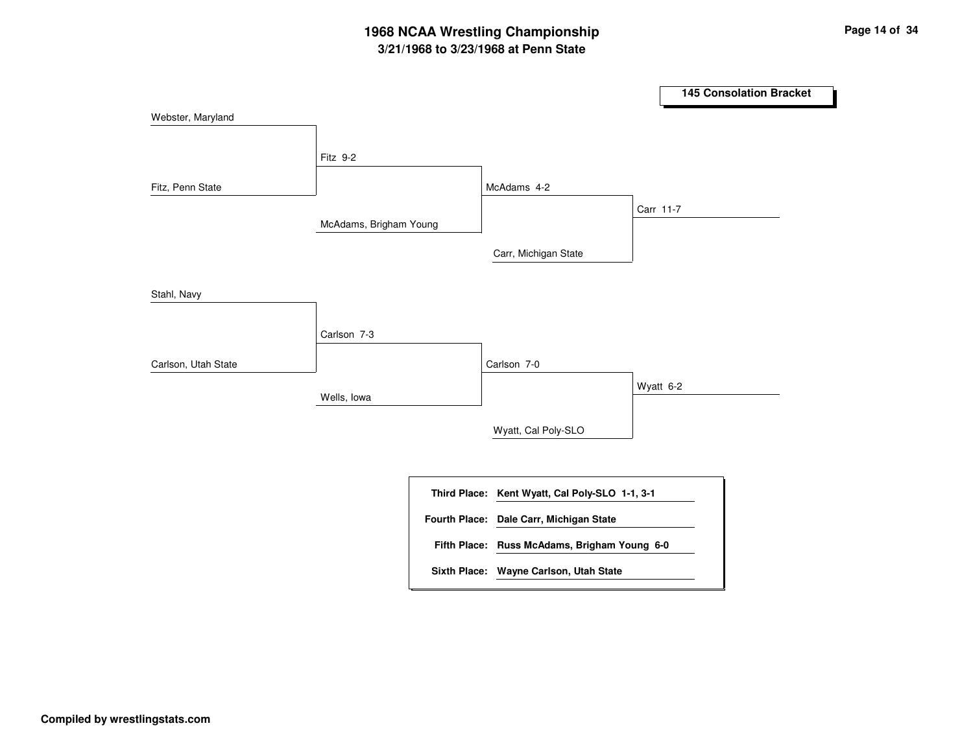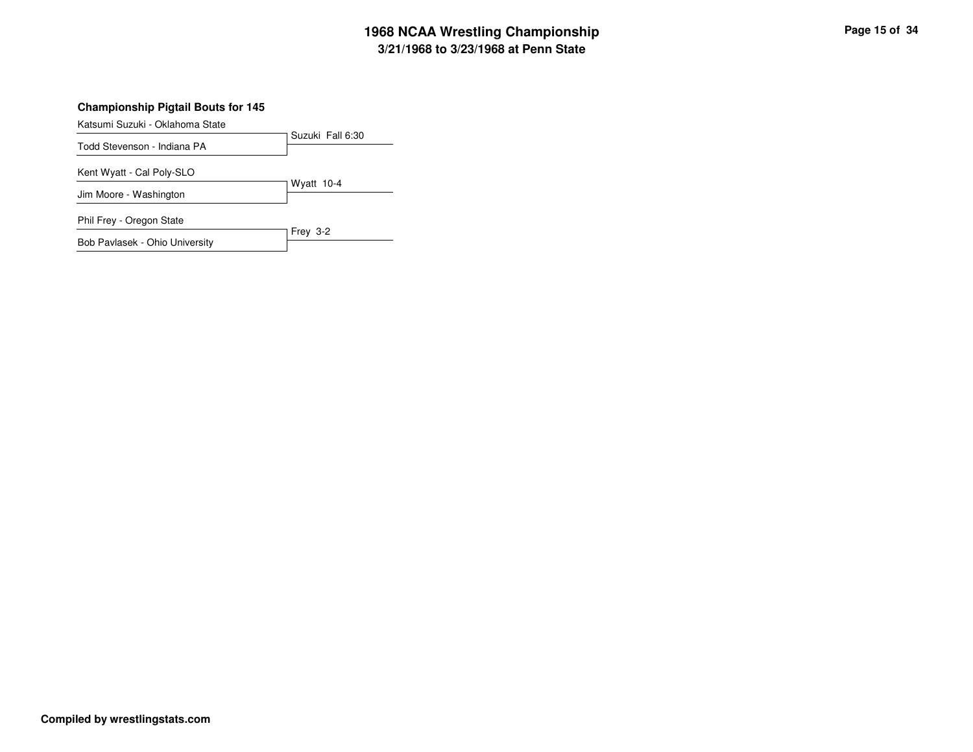### **Championship Pigtail Bouts for 145**

Katsumi Suzuki - Oklahoma State

|                                | Suzuki Fall 6:30 |
|--------------------------------|------------------|
| Todd Stevenson - Indiana PA    |                  |
| Kent Wyatt - Cal Poly-SLO      |                  |
| Jim Moore - Washington         | Wyatt $10-4$     |
| Phil Frey - Oregon State       |                  |
| Bob Pavlasek - Ohio University | Frey 3-2         |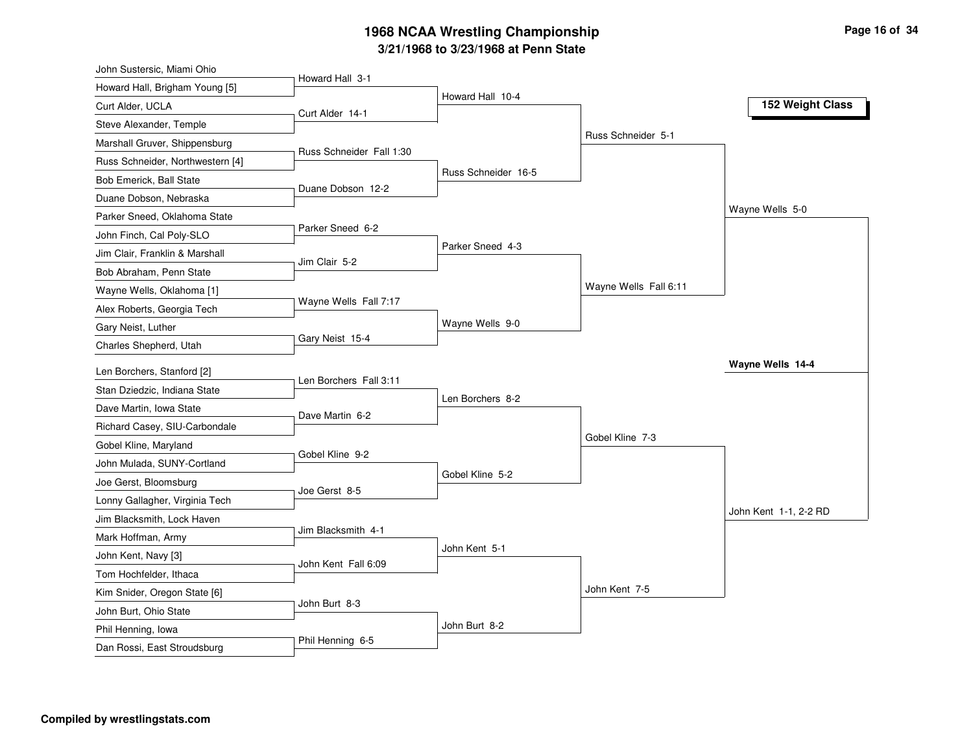| John Sustersic, Miami Ohio                  |                          |                     |                       |                       |
|---------------------------------------------|--------------------------|---------------------|-----------------------|-----------------------|
| Howard Hall, Brigham Young [5]              | Howard Hall 3-1          |                     |                       |                       |
| Curt Alder, UCLA                            | Curt Alder 14-1          | Howard Hall 10-4    |                       | 152 Weight Class      |
| Steve Alexander, Temple                     |                          |                     |                       |                       |
| Marshall Gruver, Shippensburg               |                          |                     | Russ Schneider 5-1    |                       |
| Russ Schneider, Northwestern [4]            | Russ Schneider Fall 1:30 |                     |                       |                       |
| Bob Emerick, Ball State                     |                          | Russ Schneider 16-5 |                       |                       |
| Duane Dobson, Nebraska                      | Duane Dobson 12-2        |                     |                       |                       |
| Parker Sneed, Oklahoma State                |                          |                     |                       | Wayne Wells 5-0       |
| John Finch, Cal Poly-SLO                    | Parker Sneed 6-2         |                     |                       |                       |
| Jim Clair, Franklin & Marshall              |                          | Parker Sneed 4-3    |                       |                       |
| Bob Abraham, Penn State                     | Jim Clair 5-2            |                     |                       |                       |
| Wayne Wells, Oklahoma [1]                   |                          |                     | Wayne Wells Fall 6:11 |                       |
| Alex Roberts, Georgia Tech                  | Wayne Wells Fall 7:17    |                     |                       |                       |
| Gary Neist, Luther                          |                          | Wayne Wells 9-0     |                       |                       |
| Charles Shepherd, Utah                      | Gary Neist 15-4          |                     |                       |                       |
| Len Borchers, Stanford [2]                  |                          |                     |                       | Wayne Wells 14-4      |
| Stan Dziedzic, Indiana State                | Len Borchers Fall 3:11   |                     |                       |                       |
| Dave Martin, Iowa State                     |                          | Len Borchers 8-2    |                       |                       |
| Richard Casey, SIU-Carbondale               | Dave Martin 6-2          |                     |                       |                       |
| Gobel Kline, Maryland                       |                          |                     | Gobel Kline 7-3       |                       |
| John Mulada, SUNY-Cortland                  | Gobel Kline 9-2          |                     |                       |                       |
| Joe Gerst, Bloomsburg                       |                          | Gobel Kline 5-2     |                       |                       |
| Lonny Gallagher, Virginia Tech              | Joe Gerst 8-5            |                     |                       |                       |
| Jim Blacksmith, Lock Haven                  |                          |                     |                       | John Kent 1-1, 2-2 RD |
| Mark Hoffman, Army                          | Jim Blacksmith 4-1       |                     |                       |                       |
| John Kent, Navy [3]                         |                          | John Kent 5-1       |                       |                       |
| Tom Hochfelder, Ithaca                      | John Kent Fall 6:09      |                     |                       |                       |
|                                             |                          |                     |                       |                       |
| Kim Snider, Oregon State [6]                |                          |                     | John Kent 7-5         |                       |
|                                             | John Burt 8-3            |                     |                       |                       |
| John Burt, Ohio State<br>Phil Henning, lowa |                          | John Burt 8-2       |                       |                       |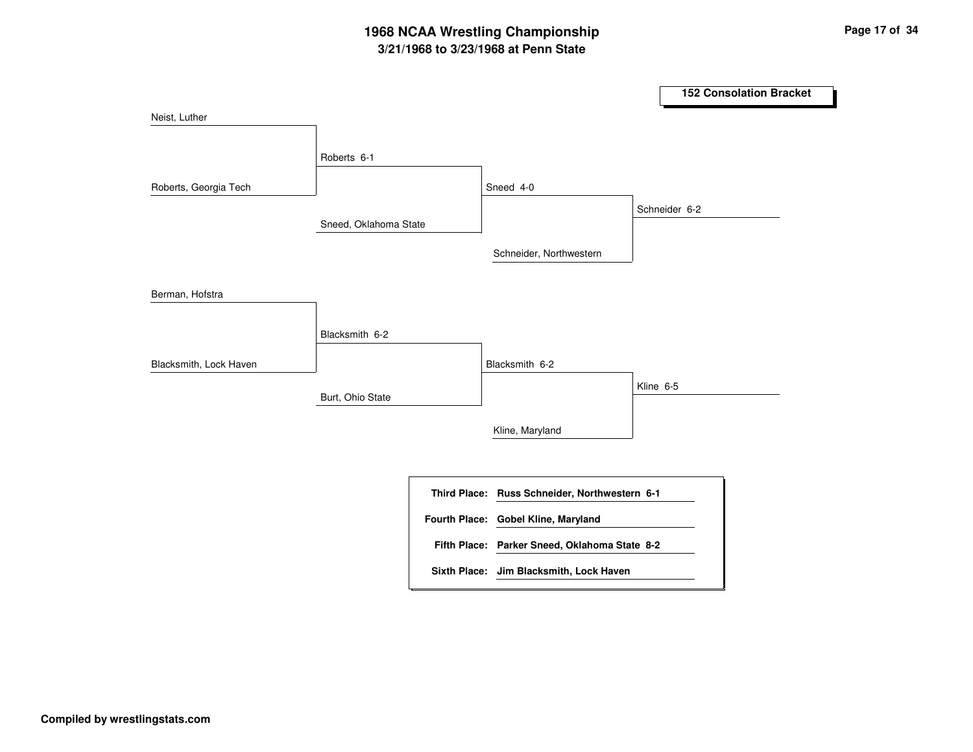|                        |                       |                                               |           | <b>152 Consolation Bracket</b> |
|------------------------|-----------------------|-----------------------------------------------|-----------|--------------------------------|
| Neist, Luther          |                       |                                               |           |                                |
|                        | Roberts 6-1           |                                               |           |                                |
| Roberts, Georgia Tech  |                       | Sneed 4-0                                     |           |                                |
|                        | Sneed, Oklahoma State |                                               |           | Schneider 6-2                  |
|                        |                       | Schneider, Northwestern                       |           |                                |
| Berman, Hofstra        |                       |                                               |           |                                |
|                        | Blacksmith 6-2        |                                               |           |                                |
| Blacksmith, Lock Haven |                       | Blacksmith 6-2                                |           |                                |
|                        | Burt, Ohio State      |                                               | Kline 6-5 |                                |
|                        |                       | Kline, Maryland                               |           |                                |
|                        |                       |                                               |           |                                |
|                        |                       | Third Place: Russ Schneider, Northwestern 6-1 |           |                                |
|                        |                       | Fourth Place: Gobel Kline, Maryland           |           |                                |
|                        |                       | Fifth Place: Parker Sneed, Oklahoma State 8-2 |           |                                |
|                        |                       | Sixth Place: Jim Blacksmith, Lock Haven       |           |                                |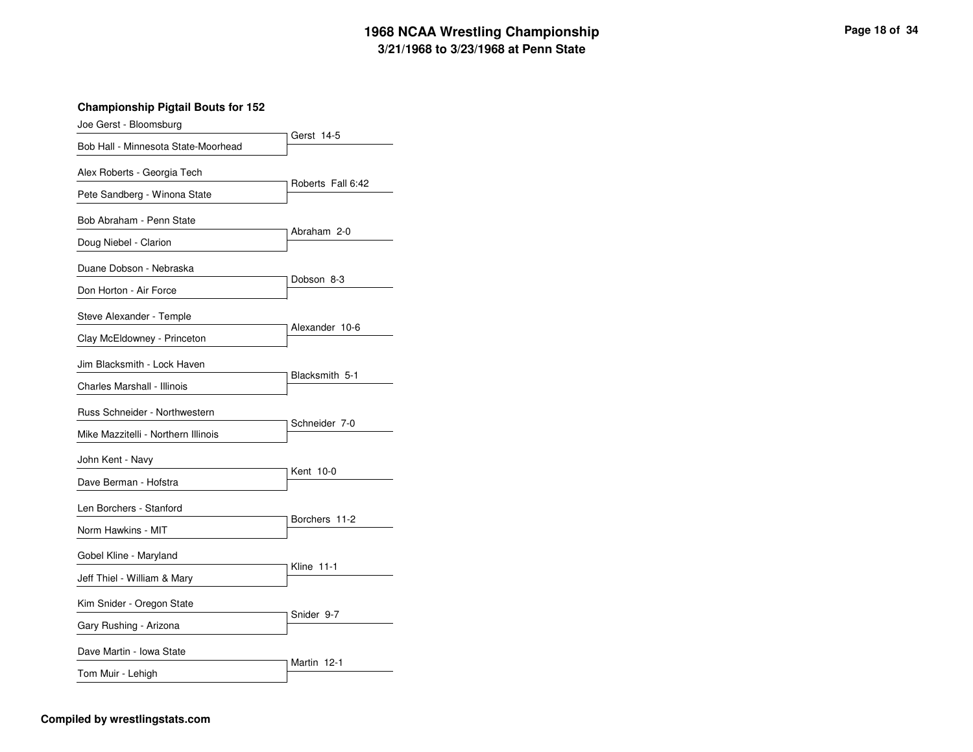**Championship Pigtail Bouts for 152**

| Joe Gerst - Bloomsburg              |                   |
|-------------------------------------|-------------------|
| Bob Hall - Minnesota State-Moorhead | Gerst 14-5        |
| Alex Roberts - Georgia Tech         |                   |
| Pete Sandberg - Winona State        | Roberts Fall 6:42 |
| Bob Abraham - Penn State            |                   |
| Doug Niebel - Clarion               | Abraham 2-0       |
| Duane Dobson - Nebraska             |                   |
| Don Horton - Air Force              | Dobson 8-3        |
| Steve Alexander - Temple            | Alexander 10-6    |
| Clay McEldowney - Princeton         |                   |
| Jim Blacksmith - Lock Haven         | Blacksmith 5-1    |
| Charles Marshall - Illinois         |                   |
| Russ Schneider - Northwestern       | Schneider 7-0     |
| Mike Mazzitelli - Northern Illinois |                   |
| John Kent - Navy                    | Kent 10-0         |
| Dave Berman - Hofstra               |                   |
| Len Borchers - Stanford             | Borchers 11-2     |
| Norm Hawkins - MIT                  |                   |
| Gobel Kline - Maryland              |                   |
| Jeff Thiel - William & Mary         | <b>Kline 11-1</b> |
| Kim Snider - Oregon State           | Snider 9-7        |
| Gary Rushing - Arizona              |                   |
| Dave Martin - Iowa State            | Martin 12-1       |
| Tom Muir - Lehigh                   |                   |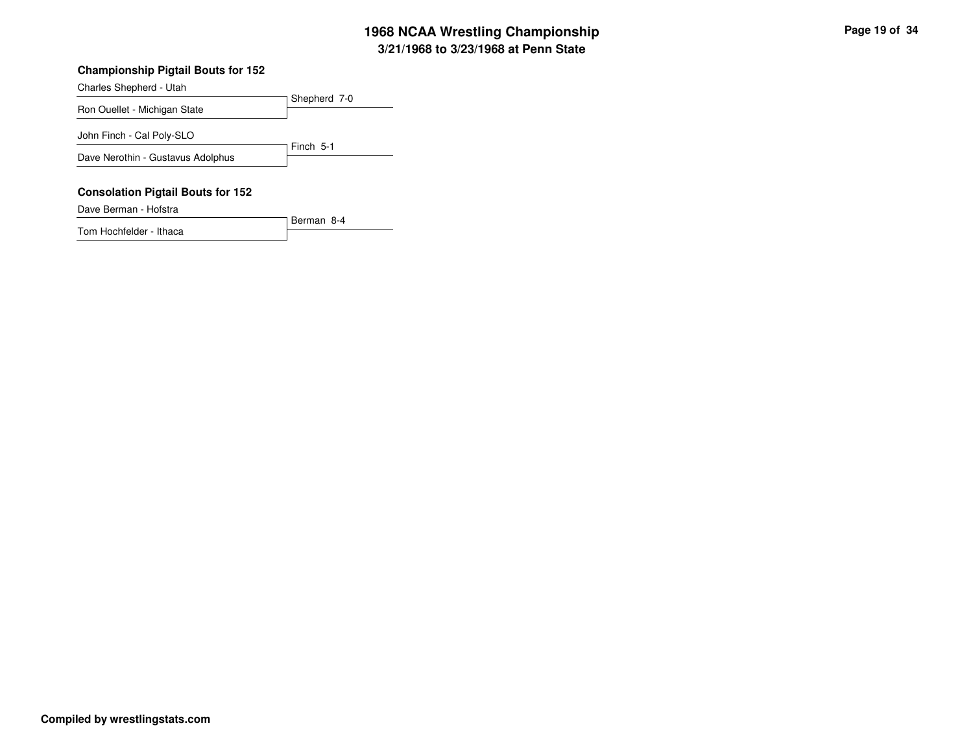#### **Championship Pigtail Bouts for 152**

Shepherd 7-0Charles Shepherd - UtahRon Ouellet - Michigan StateFinch 5-1John Finch - Cal Poly-SLODave Nerothin - Gustavus Adolphus**Consolation Pigtail Bouts for 152**Dave Berman - Hofstra

Berman 8-4Tom Hochfelder - Ithaca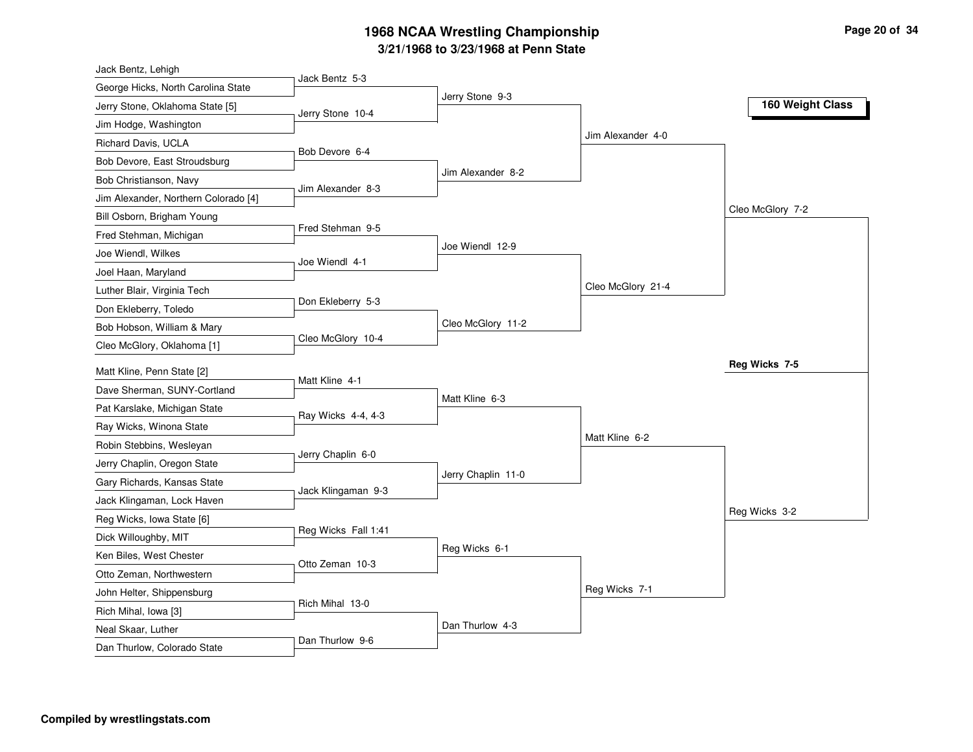| Jack Bentz, Lehigh                   |                     |                    |                   |                  |
|--------------------------------------|---------------------|--------------------|-------------------|------------------|
| George Hicks, North Carolina State   | Jack Bentz 5-3      | Jerry Stone 9-3    |                   |                  |
| Jerry Stone, Oklahoma State [5]      | Jerry Stone 10-4    |                    |                   | 160 Weight Class |
| Jim Hodge, Washington                |                     |                    |                   |                  |
| Richard Davis, UCLA                  |                     |                    | Jim Alexander 4-0 |                  |
| Bob Devore, East Stroudsburg         | Bob Devore 6-4      |                    |                   |                  |
| Bob Christianson, Navy               |                     | Jim Alexander 8-2  |                   |                  |
| Jim Alexander, Northern Colorado [4] | Jim Alexander 8-3   |                    |                   |                  |
| Bill Osborn, Brigham Young           |                     |                    |                   | Cleo McGlory 7-2 |
| Fred Stehman, Michigan               | Fred Stehman 9-5    |                    |                   |                  |
| Joe Wiendl, Wilkes                   |                     | Joe Wiendl 12-9    |                   |                  |
| Joel Haan, Maryland                  | Joe Wiendl 4-1      |                    |                   |                  |
| Luther Blair, Virginia Tech          |                     |                    | Cleo McGlory 21-4 |                  |
| Don Ekleberry, Toledo                | Don Ekleberry 5-3   |                    |                   |                  |
| Bob Hobson, William & Mary           |                     | Cleo McGlory 11-2  |                   |                  |
| Cleo McGlory, Oklahoma [1]           | Cleo McGlory 10-4   |                    |                   |                  |
| Matt Kline, Penn State [2]           |                     |                    |                   | Reg Wicks 7-5    |
| Dave Sherman, SUNY-Cortland          | Matt Kline 4-1      |                    |                   |                  |
| Pat Karslake, Michigan State         |                     | Matt Kline 6-3     |                   |                  |
| Ray Wicks, Winona State              | Ray Wicks 4-4, 4-3  |                    |                   |                  |
| Robin Stebbins, Wesleyan             |                     |                    | Matt Kline 6-2    |                  |
| Jerry Chaplin, Oregon State          | Jerry Chaplin 6-0   |                    |                   |                  |
| Gary Richards, Kansas State          |                     | Jerry Chaplin 11-0 |                   |                  |
| Jack Klingaman, Lock Haven           | Jack Klingaman 9-3  |                    |                   |                  |
| Reg Wicks, Iowa State [6]            |                     |                    |                   | Reg Wicks 3-2    |
| Dick Willoughby, MIT                 | Reg Wicks Fall 1:41 |                    |                   |                  |
| Ken Biles, West Chester              |                     | Reg Wicks 6-1      |                   |                  |
| Otto Zeman, Northwestern             | Otto Zeman 10-3     |                    |                   |                  |
| John Helter, Shippensburg            |                     |                    | Reg Wicks 7-1     |                  |
| Rich Mihal, Iowa [3]                 | Rich Mihal 13-0     |                    |                   |                  |
| Neal Skaar, Luther                   |                     |                    |                   |                  |
|                                      |                     | Dan Thurlow 4-3    |                   |                  |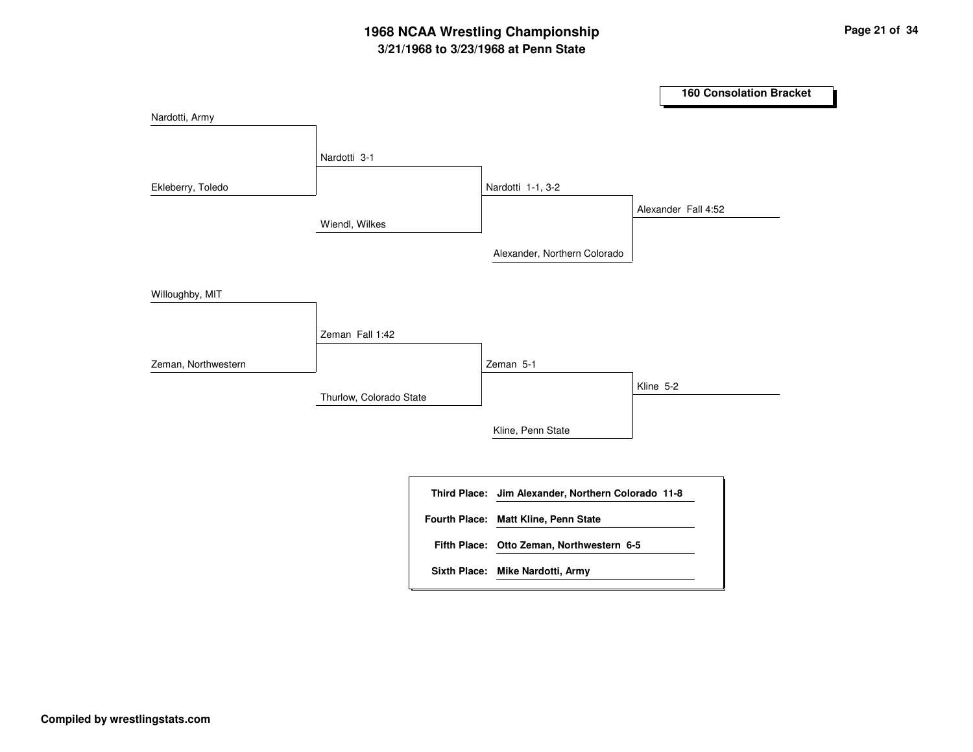|                     |                         |                                                    | <b>160 Consolation Bracket</b> |
|---------------------|-------------------------|----------------------------------------------------|--------------------------------|
| Nardotti, Army      |                         |                                                    |                                |
|                     | Nardotti 3-1            |                                                    |                                |
| Ekleberry, Toledo   |                         | Nardotti 1-1, 3-2                                  |                                |
|                     | Wiendl, Wilkes          |                                                    | Alexander Fall 4:52            |
|                     |                         | Alexander, Northern Colorado                       |                                |
| Willoughby, MIT     |                         |                                                    |                                |
|                     | Zeman Fall 1:42         |                                                    |                                |
| Zeman, Northwestern |                         | Zeman 5-1                                          |                                |
|                     | Thurlow, Colorado State |                                                    | Kline 5-2                      |
|                     |                         | Kline, Penn State                                  |                                |
|                     |                         |                                                    |                                |
|                     |                         | Third Place: Jim Alexander, Northern Colorado 11-8 |                                |
|                     |                         | Fourth Place: Matt Kline, Penn State               |                                |
|                     |                         | Fifth Place: Otto Zeman, Northwestern 6-5          |                                |
|                     |                         | Sixth Place: Mike Nardotti, Army                   |                                |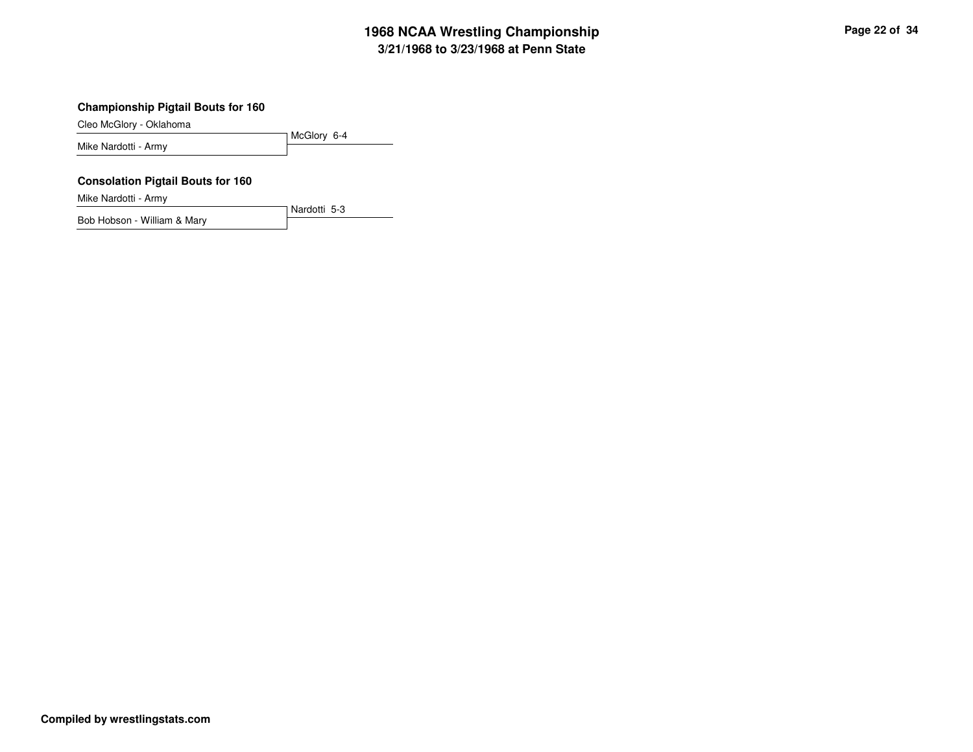### **Championship Pigtail Bouts for 160**

Cleo McGlory - Oklahoma

McGlory 6-4Mike Nardotti - Army

Nardotti 5-3

### **Consolation Pigtail Bouts for 160**

Mike Nardotti - Army

Bob Hobson - William & Mary

**Compiled by wrestlingstats.com**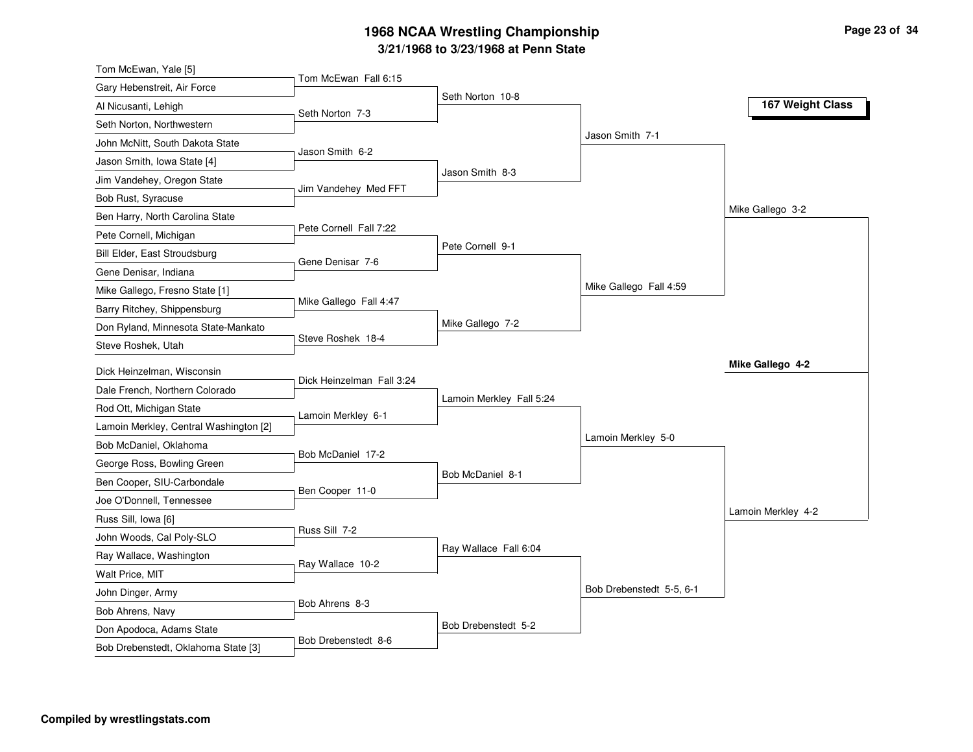| Tom McEwan Fall 6:15<br>Gary Hebenstreit, Air Force<br>Seth Norton 10-8<br>Al Nicusanti, Lehigh<br>Seth Norton 7-3<br>Seth Norton, Northwestern<br>John McNitt, South Dakota State<br>Jason Smith 6-2<br>Jason Smith, Iowa State [4]<br>Jason Smith 8-3<br>Jim Vandehey, Oregon State<br>Jim Vandehey Med FFT<br>Bob Rust, Syracuse<br>Ben Harry, North Carolina State<br>Pete Cornell Fall 7:22<br>Pete Cornell, Michigan<br>Pete Cornell 9-1<br>Bill Elder, East Stroudsburg<br>Gene Denisar 7-6<br>Gene Denisar, Indiana<br>Mike Gallego, Fresno State [1]<br>Mike Gallego Fall 4:47<br>Barry Ritchey, Shippensburg<br>Mike Gallego 7-2<br>Don Ryland, Minnesota State-Mankato<br>Steve Roshek 18-4<br>Steve Roshek, Utah<br>Dick Heinzelman, Wisconsin<br>Dick Heinzelman Fall 3:24<br>Dale French, Northern Colorado<br>Lamoin Merkley Fall 5:24<br>Rod Ott, Michigan State<br>Lamoin Merkley 6-1<br>Lamoin Merkley, Central Washington [2]<br>Bob McDaniel, Oklahoma<br>Bob McDaniel 17-2 | Jason Smith 7-1<br>Mike Gallego Fall 4:59 | 167 Weight Class<br>Mike Gallego 3-2 |
|-------------------------------------------------------------------------------------------------------------------------------------------------------------------------------------------------------------------------------------------------------------------------------------------------------------------------------------------------------------------------------------------------------------------------------------------------------------------------------------------------------------------------------------------------------------------------------------------------------------------------------------------------------------------------------------------------------------------------------------------------------------------------------------------------------------------------------------------------------------------------------------------------------------------------------------------------------------------------------------------------|-------------------------------------------|--------------------------------------|
|                                                                                                                                                                                                                                                                                                                                                                                                                                                                                                                                                                                                                                                                                                                                                                                                                                                                                                                                                                                                 |                                           |                                      |
|                                                                                                                                                                                                                                                                                                                                                                                                                                                                                                                                                                                                                                                                                                                                                                                                                                                                                                                                                                                                 |                                           |                                      |
|                                                                                                                                                                                                                                                                                                                                                                                                                                                                                                                                                                                                                                                                                                                                                                                                                                                                                                                                                                                                 |                                           |                                      |
|                                                                                                                                                                                                                                                                                                                                                                                                                                                                                                                                                                                                                                                                                                                                                                                                                                                                                                                                                                                                 |                                           |                                      |
|                                                                                                                                                                                                                                                                                                                                                                                                                                                                                                                                                                                                                                                                                                                                                                                                                                                                                                                                                                                                 |                                           |                                      |
|                                                                                                                                                                                                                                                                                                                                                                                                                                                                                                                                                                                                                                                                                                                                                                                                                                                                                                                                                                                                 |                                           |                                      |
|                                                                                                                                                                                                                                                                                                                                                                                                                                                                                                                                                                                                                                                                                                                                                                                                                                                                                                                                                                                                 |                                           |                                      |
|                                                                                                                                                                                                                                                                                                                                                                                                                                                                                                                                                                                                                                                                                                                                                                                                                                                                                                                                                                                                 |                                           |                                      |
|                                                                                                                                                                                                                                                                                                                                                                                                                                                                                                                                                                                                                                                                                                                                                                                                                                                                                                                                                                                                 |                                           |                                      |
|                                                                                                                                                                                                                                                                                                                                                                                                                                                                                                                                                                                                                                                                                                                                                                                                                                                                                                                                                                                                 |                                           |                                      |
|                                                                                                                                                                                                                                                                                                                                                                                                                                                                                                                                                                                                                                                                                                                                                                                                                                                                                                                                                                                                 |                                           |                                      |
|                                                                                                                                                                                                                                                                                                                                                                                                                                                                                                                                                                                                                                                                                                                                                                                                                                                                                                                                                                                                 |                                           |                                      |
|                                                                                                                                                                                                                                                                                                                                                                                                                                                                                                                                                                                                                                                                                                                                                                                                                                                                                                                                                                                                 |                                           |                                      |
|                                                                                                                                                                                                                                                                                                                                                                                                                                                                                                                                                                                                                                                                                                                                                                                                                                                                                                                                                                                                 |                                           |                                      |
|                                                                                                                                                                                                                                                                                                                                                                                                                                                                                                                                                                                                                                                                                                                                                                                                                                                                                                                                                                                                 |                                           |                                      |
|                                                                                                                                                                                                                                                                                                                                                                                                                                                                                                                                                                                                                                                                                                                                                                                                                                                                                                                                                                                                 |                                           | Mike Gallego 4-2                     |
|                                                                                                                                                                                                                                                                                                                                                                                                                                                                                                                                                                                                                                                                                                                                                                                                                                                                                                                                                                                                 |                                           |                                      |
|                                                                                                                                                                                                                                                                                                                                                                                                                                                                                                                                                                                                                                                                                                                                                                                                                                                                                                                                                                                                 |                                           |                                      |
|                                                                                                                                                                                                                                                                                                                                                                                                                                                                                                                                                                                                                                                                                                                                                                                                                                                                                                                                                                                                 |                                           |                                      |
|                                                                                                                                                                                                                                                                                                                                                                                                                                                                                                                                                                                                                                                                                                                                                                                                                                                                                                                                                                                                 | Lamoin Merkley 5-0                        |                                      |
| George Ross, Bowling Green                                                                                                                                                                                                                                                                                                                                                                                                                                                                                                                                                                                                                                                                                                                                                                                                                                                                                                                                                                      |                                           |                                      |
| Bob McDaniel 8-1<br>Ben Cooper, SIU-Carbondale                                                                                                                                                                                                                                                                                                                                                                                                                                                                                                                                                                                                                                                                                                                                                                                                                                                                                                                                                  |                                           |                                      |
| Ben Cooper 11-0<br>Joe O'Donnell, Tennessee                                                                                                                                                                                                                                                                                                                                                                                                                                                                                                                                                                                                                                                                                                                                                                                                                                                                                                                                                     |                                           |                                      |
| Russ Sill, Iowa [6]                                                                                                                                                                                                                                                                                                                                                                                                                                                                                                                                                                                                                                                                                                                                                                                                                                                                                                                                                                             |                                           | Lamoin Merkley 4-2                   |
| Russ Sill 7-2<br>John Woods, Cal Poly-SLO                                                                                                                                                                                                                                                                                                                                                                                                                                                                                                                                                                                                                                                                                                                                                                                                                                                                                                                                                       |                                           |                                      |
| Ray Wallace Fall 6:04<br>Ray Wallace, Washington                                                                                                                                                                                                                                                                                                                                                                                                                                                                                                                                                                                                                                                                                                                                                                                                                                                                                                                                                |                                           |                                      |
| Ray Wallace 10-2<br>Walt Price, MIT                                                                                                                                                                                                                                                                                                                                                                                                                                                                                                                                                                                                                                                                                                                                                                                                                                                                                                                                                             |                                           |                                      |
| John Dinger, Army                                                                                                                                                                                                                                                                                                                                                                                                                                                                                                                                                                                                                                                                                                                                                                                                                                                                                                                                                                               | Bob Drebenstedt 5-5, 6-1                  |                                      |
| Bob Ahrens 8-3<br>Bob Ahrens, Navy                                                                                                                                                                                                                                                                                                                                                                                                                                                                                                                                                                                                                                                                                                                                                                                                                                                                                                                                                              |                                           |                                      |
| Bob Drebenstedt 5-2<br>Don Apodoca, Adams State                                                                                                                                                                                                                                                                                                                                                                                                                                                                                                                                                                                                                                                                                                                                                                                                                                                                                                                                                 |                                           |                                      |
| Bob Drebenstedt 8-6<br>Bob Drebenstedt, Oklahoma State [3]                                                                                                                                                                                                                                                                                                                                                                                                                                                                                                                                                                                                                                                                                                                                                                                                                                                                                                                                      |                                           |                                      |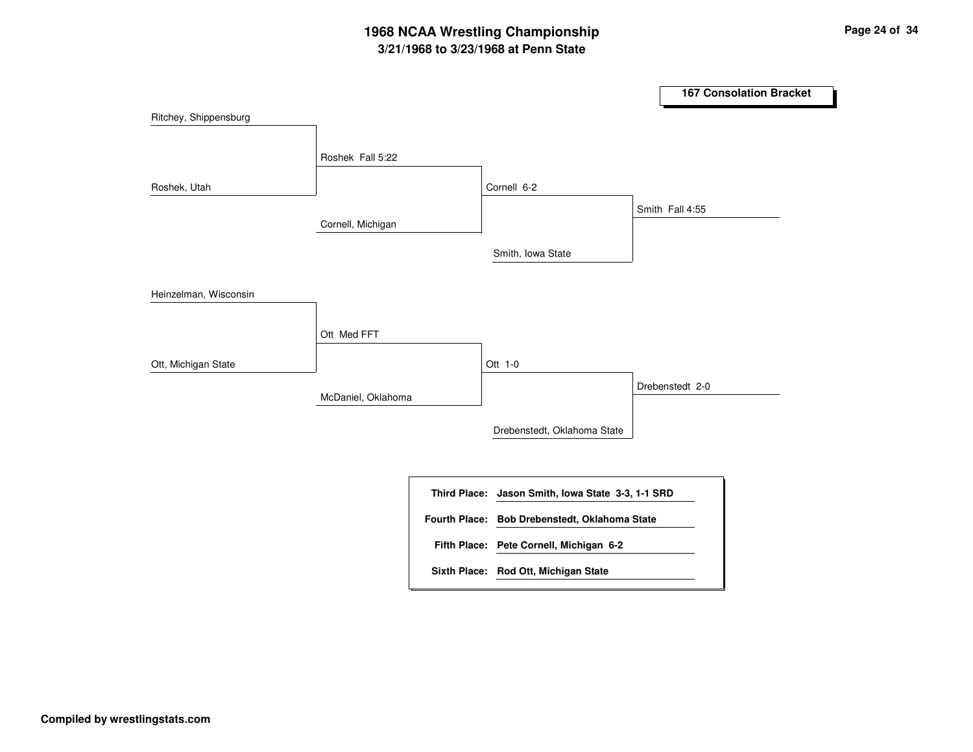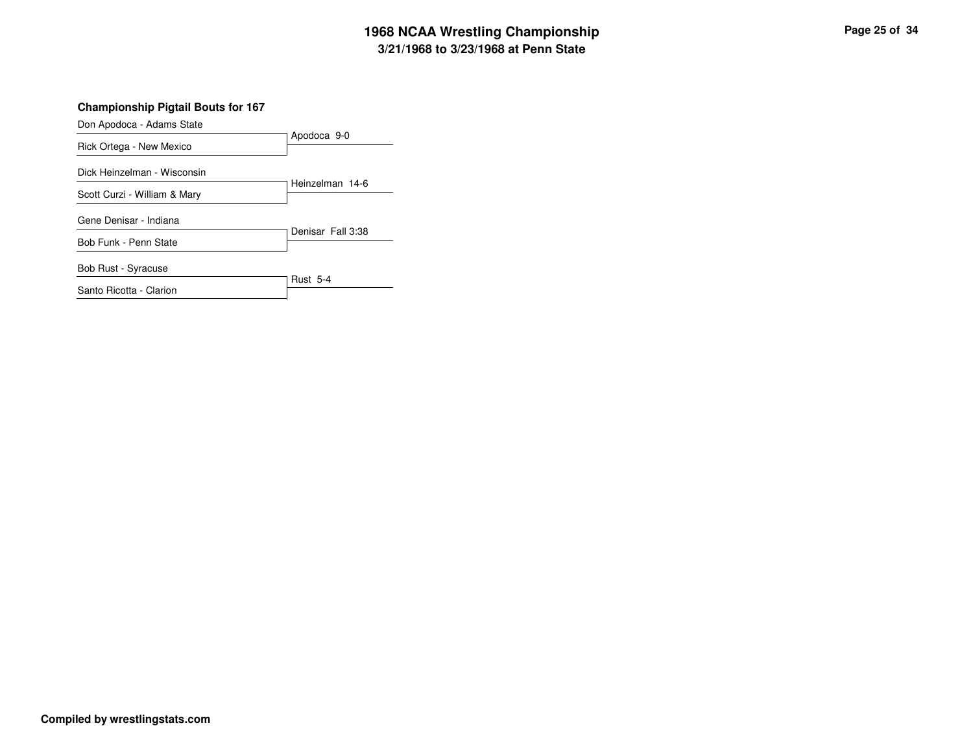### **Championship Pigtail Bouts for 167**

Don Apodoca - Adams State

| $50.77$ $1000000$            | Apodoca 9-0       |
|------------------------------|-------------------|
| Rick Ortega - New Mexico     |                   |
| Dick Heinzelman - Wisconsin  |                   |
| Scott Curzi - William & Mary | Heinzelman 14-6   |
| Gene Denisar - Indiana       | Denisar Fall 3:38 |
| Bob Funk - Penn State        |                   |
| <b>Bob Rust - Syracuse</b>   |                   |
| Santo Ricotta - Clarion      | <b>Rust 5-4</b>   |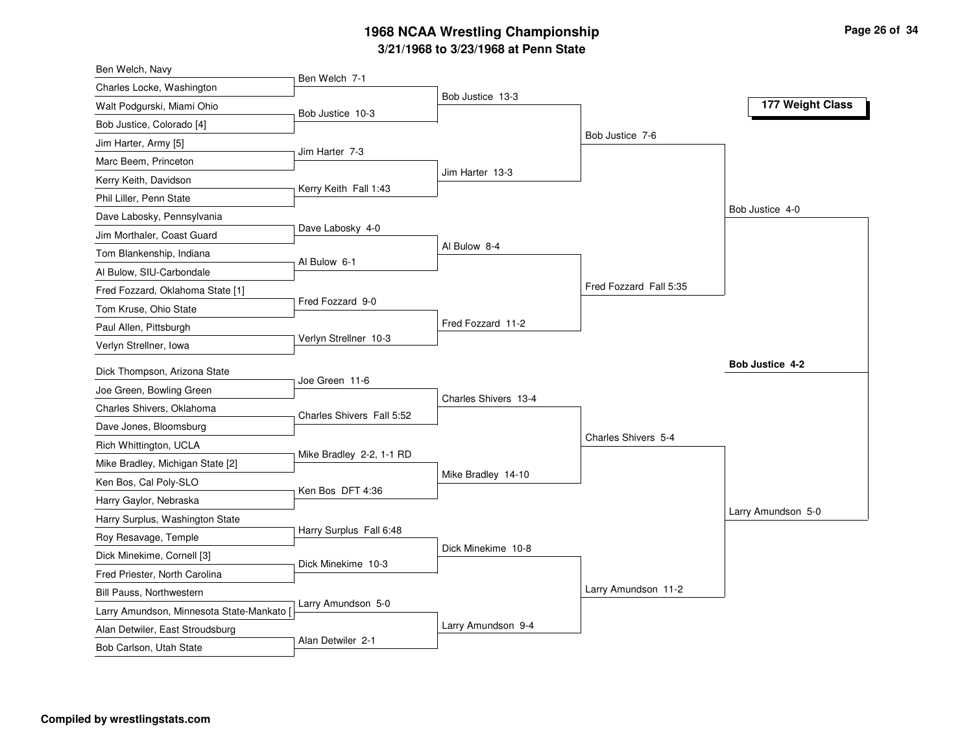| Ben Welch, Navy                           |                           |                      |                        |                    |
|-------------------------------------------|---------------------------|----------------------|------------------------|--------------------|
| Charles Locke, Washington                 | Ben Welch 7-1             |                      |                        |                    |
| Walt Podgurski, Miami Ohio                | Bob Justice 10-3          | Bob Justice 13-3     |                        | 177 Weight Class   |
| Bob Justice, Colorado [4]                 |                           |                      |                        |                    |
| Jim Harter, Army [5]                      |                           |                      | Bob Justice 7-6        |                    |
| Marc Beem, Princeton                      | Jim Harter 7-3            |                      |                        |                    |
| Kerry Keith, Davidson                     |                           | Jim Harter 13-3      |                        |                    |
| Phil Liller, Penn State                   | Kerry Keith Fall 1:43     |                      |                        |                    |
| Dave Labosky, Pennsylvania                |                           |                      |                        | Bob Justice 4-0    |
| Jim Morthaler, Coast Guard                | Dave Labosky 4-0          |                      |                        |                    |
| Tom Blankenship, Indiana                  | Al Bulow 6-1              | Al Bulow 8-4         |                        |                    |
| Al Bulow, SIU-Carbondale                  |                           |                      |                        |                    |
| Fred Fozzard, Oklahoma State [1]          |                           |                      | Fred Fozzard Fall 5:35 |                    |
| Tom Kruse, Ohio State                     | Fred Fozzard 9-0          |                      |                        |                    |
| Paul Allen, Pittsburgh                    |                           | Fred Fozzard 11-2    |                        |                    |
| Verlyn Strellner, Iowa                    | Verlyn Strellner 10-3     |                      |                        |                    |
| Dick Thompson, Arizona State              |                           |                      |                        | Bob Justice 4-2    |
| Joe Green, Bowling Green                  | Joe Green 11-6            |                      |                        |                    |
| Charles Shivers, Oklahoma                 |                           | Charles Shivers 13-4 |                        |                    |
| Dave Jones, Bloomsburg                    | Charles Shivers Fall 5:52 |                      |                        |                    |
| Rich Whittington, UCLA                    |                           |                      | Charles Shivers 5-4    |                    |
| Mike Bradley, Michigan State [2]          | Mike Bradley 2-2, 1-1 RD  |                      |                        |                    |
| Ken Bos, Cal Poly-SLO                     |                           | Mike Bradley 14-10   |                        |                    |
| Harry Gaylor, Nebraska                    | Ken Bos DFT 4:36          |                      |                        |                    |
| Harry Surplus, Washington State           |                           |                      |                        | Larry Amundson 5-0 |
| Roy Resavage, Temple                      | Harry Surplus Fall 6:48   |                      |                        |                    |
| Dick Minekime, Cornell [3]                |                           | Dick Minekime 10-8   |                        |                    |
| Fred Priester, North Carolina             | Dick Minekime 10-3        |                      |                        |                    |
| Bill Pauss, Northwestern                  |                           |                      | Larry Amundson 11-2    |                    |
| Larry Amundson, Minnesota State-Mankato [ | Larry Amundson 5-0        |                      |                        |                    |
| Alan Detwiler, East Stroudsburg           |                           | Larry Amundson 9-4   |                        |                    |
| Bob Carlson, Utah State                   | Alan Detwiler 2-1         |                      |                        |                    |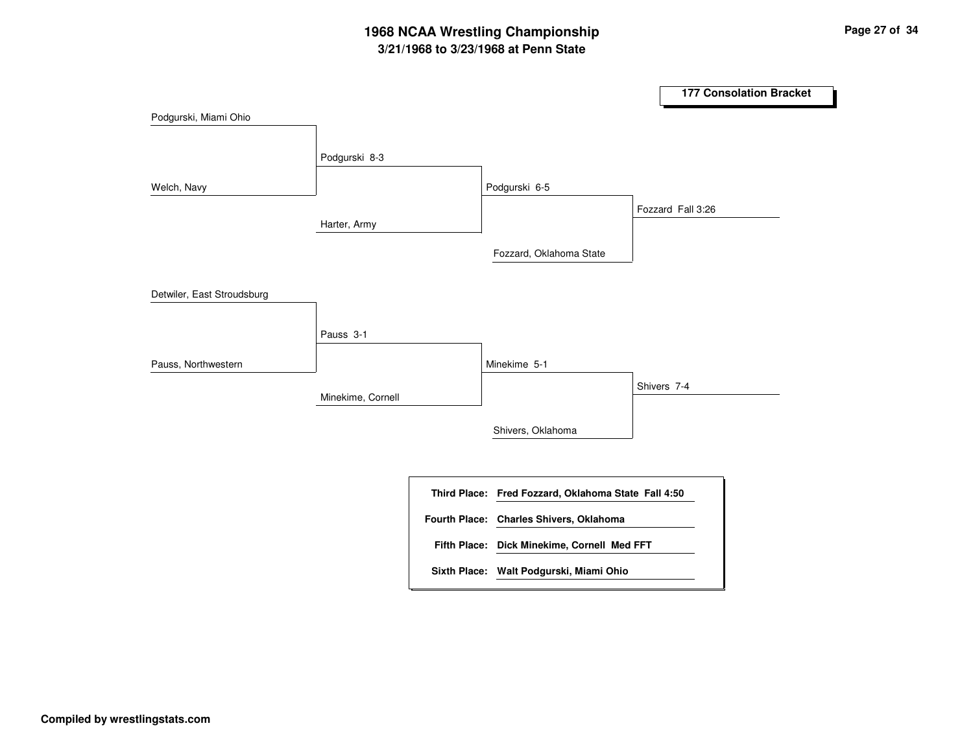|                            |                   |                                                     | <b>177 Consolation Bracket</b> |
|----------------------------|-------------------|-----------------------------------------------------|--------------------------------|
| Podgurski, Miami Ohio      |                   |                                                     |                                |
|                            | Podgurski 8-3     |                                                     |                                |
| Welch, Navy                |                   | Podgurski 6-5                                       |                                |
|                            | Harter, Army      |                                                     | Fozzard Fall 3:26              |
|                            |                   | Fozzard, Oklahoma State                             |                                |
| Detwiler, East Stroudsburg |                   |                                                     |                                |
|                            | Pauss 3-1         |                                                     |                                |
| Pauss, Northwestern        |                   | Minekime 5-1                                        |                                |
|                            | Minekime, Cornell |                                                     | Shivers 7-4                    |
|                            |                   | Shivers, Oklahoma                                   |                                |
|                            |                   |                                                     |                                |
|                            |                   | Third Place: Fred Fozzard, Oklahoma State Fall 4:50 |                                |
|                            |                   | Fourth Place: Charles Shivers, Oklahoma             |                                |
|                            |                   | Fifth Place: Dick Minekime, Cornell Med FFT         |                                |
|                            |                   | Sixth Place: Walt Podgurski, Miami Ohio             |                                |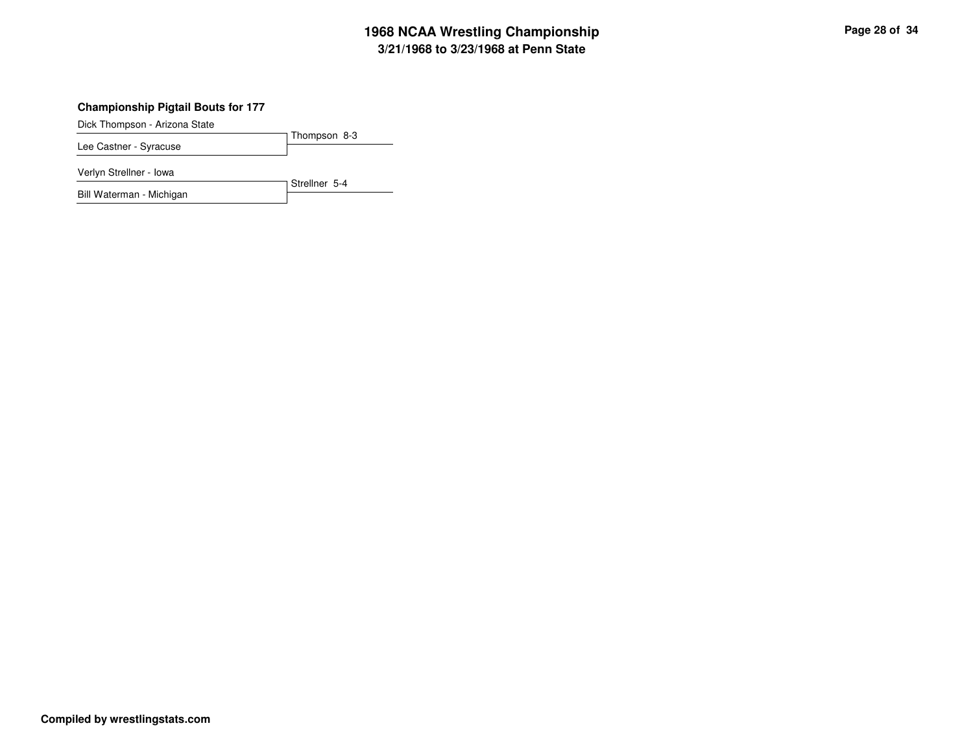### **Championship Pigtail Bouts for 177**

Dick Thompson - Arizona State

Thompson 8-3Lee Castner - Syracuse

Verlyn Strellner - Iowa

Strellner 5-4Bill Waterman - Michigan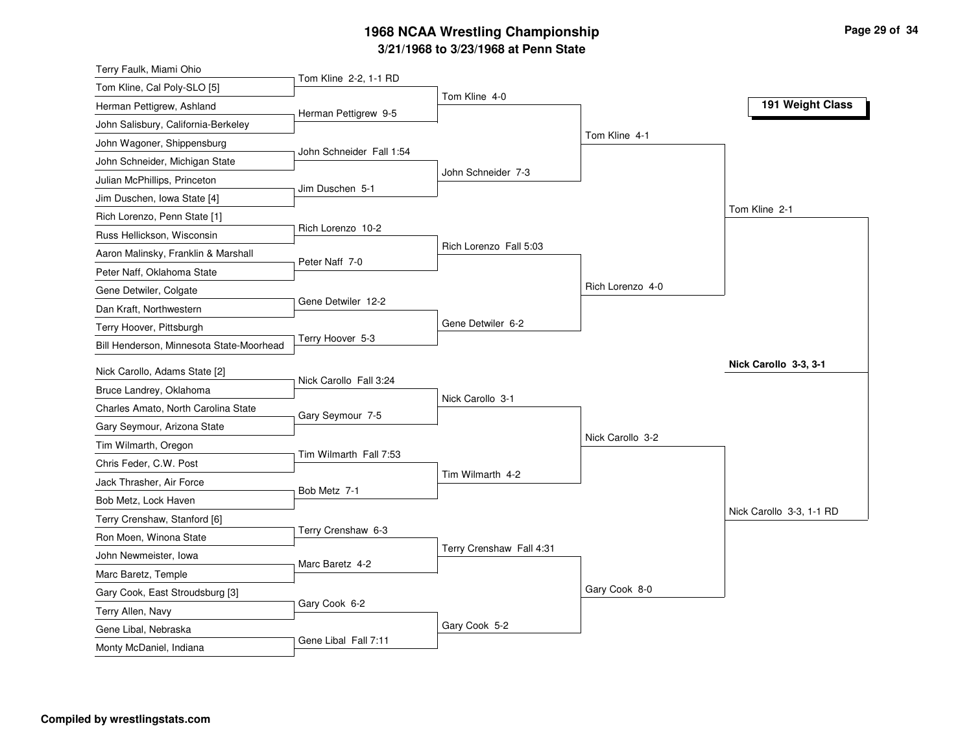| Tom Kline 2-2, 1-1 RD<br>Tom Kline, Cal Poly-SLO [5]<br>Tom Kline 4-0<br>Herman Pettigrew, Ashland<br>Herman Pettigrew 9-5<br>John Salisbury, California-Berkeley<br>Tom Kline 4-1<br>John Wagoner, Shippensburg<br>John Schneider Fall 1:54<br>John Schneider, Michigan State<br>John Schneider 7-3<br>Julian McPhillips, Princeton<br>Jim Duschen 5-1<br>Jim Duschen, Iowa State [4]<br>Tom Kline 2-1<br>Rich Lorenzo, Penn State [1]<br>Rich Lorenzo 10-2<br>Russ Hellickson, Wisconsin<br>Rich Lorenzo Fall 5:03<br>Aaron Malinsky, Franklin & Marshall<br>Peter Naff 7-0<br>Peter Naff, Oklahoma State<br>Rich Lorenzo 4-0<br>Gene Detwiler, Colgate<br>Gene Detwiler 12-2 | Terry Faulk, Miami Ohio |  |                  |
|---------------------------------------------------------------------------------------------------------------------------------------------------------------------------------------------------------------------------------------------------------------------------------------------------------------------------------------------------------------------------------------------------------------------------------------------------------------------------------------------------------------------------------------------------------------------------------------------------------------------------------------------------------------------------------|-------------------------|--|------------------|
|                                                                                                                                                                                                                                                                                                                                                                                                                                                                                                                                                                                                                                                                                 |                         |  |                  |
|                                                                                                                                                                                                                                                                                                                                                                                                                                                                                                                                                                                                                                                                                 |                         |  | 191 Weight Class |
|                                                                                                                                                                                                                                                                                                                                                                                                                                                                                                                                                                                                                                                                                 |                         |  |                  |
|                                                                                                                                                                                                                                                                                                                                                                                                                                                                                                                                                                                                                                                                                 |                         |  |                  |
|                                                                                                                                                                                                                                                                                                                                                                                                                                                                                                                                                                                                                                                                                 |                         |  |                  |
|                                                                                                                                                                                                                                                                                                                                                                                                                                                                                                                                                                                                                                                                                 |                         |  |                  |
|                                                                                                                                                                                                                                                                                                                                                                                                                                                                                                                                                                                                                                                                                 |                         |  |                  |
|                                                                                                                                                                                                                                                                                                                                                                                                                                                                                                                                                                                                                                                                                 |                         |  |                  |
|                                                                                                                                                                                                                                                                                                                                                                                                                                                                                                                                                                                                                                                                                 |                         |  |                  |
|                                                                                                                                                                                                                                                                                                                                                                                                                                                                                                                                                                                                                                                                                 |                         |  |                  |
|                                                                                                                                                                                                                                                                                                                                                                                                                                                                                                                                                                                                                                                                                 |                         |  |                  |
|                                                                                                                                                                                                                                                                                                                                                                                                                                                                                                                                                                                                                                                                                 |                         |  |                  |
|                                                                                                                                                                                                                                                                                                                                                                                                                                                                                                                                                                                                                                                                                 | Dan Kraft, Northwestern |  |                  |
| Gene Detwiler 6-2<br>Terry Hoover, Pittsburgh                                                                                                                                                                                                                                                                                                                                                                                                                                                                                                                                                                                                                                   |                         |  |                  |
| Terry Hoover 5-3<br>Bill Henderson, Minnesota State-Moorhead                                                                                                                                                                                                                                                                                                                                                                                                                                                                                                                                                                                                                    |                         |  |                  |
| Nick Carollo 3-3, 3-1<br>Nick Carollo, Adams State [2]                                                                                                                                                                                                                                                                                                                                                                                                                                                                                                                                                                                                                          |                         |  |                  |
| Nick Carollo Fall 3:24<br>Bruce Landrey, Oklahoma                                                                                                                                                                                                                                                                                                                                                                                                                                                                                                                                                                                                                               |                         |  |                  |
| Nick Carollo 3-1<br>Charles Amato, North Carolina State                                                                                                                                                                                                                                                                                                                                                                                                                                                                                                                                                                                                                         |                         |  |                  |
| Gary Seymour 7-5<br>Gary Seymour, Arizona State                                                                                                                                                                                                                                                                                                                                                                                                                                                                                                                                                                                                                                 |                         |  |                  |
| Nick Carollo 3-2<br>Tim Wilmarth, Oregon                                                                                                                                                                                                                                                                                                                                                                                                                                                                                                                                                                                                                                        |                         |  |                  |
| Tim Wilmarth Fall 7:53<br>Chris Feder, C.W. Post                                                                                                                                                                                                                                                                                                                                                                                                                                                                                                                                                                                                                                |                         |  |                  |
| Tim Wilmarth 4-2<br>Jack Thrasher, Air Force                                                                                                                                                                                                                                                                                                                                                                                                                                                                                                                                                                                                                                    |                         |  |                  |
| Bob Metz 7-1<br>Bob Metz, Lock Haven                                                                                                                                                                                                                                                                                                                                                                                                                                                                                                                                                                                                                                            |                         |  |                  |
| Nick Carollo 3-3, 1-1 RD<br>Terry Crenshaw, Stanford [6]                                                                                                                                                                                                                                                                                                                                                                                                                                                                                                                                                                                                                        |                         |  |                  |
| Terry Crenshaw 6-3<br>Ron Moen, Winona State                                                                                                                                                                                                                                                                                                                                                                                                                                                                                                                                                                                                                                    |                         |  |                  |
| Terry Crenshaw Fall 4:31<br>John Newmeister, Iowa                                                                                                                                                                                                                                                                                                                                                                                                                                                                                                                                                                                                                               |                         |  |                  |
| Marc Baretz 4-2<br>Marc Baretz, Temple                                                                                                                                                                                                                                                                                                                                                                                                                                                                                                                                                                                                                                          |                         |  |                  |
| Gary Cook 8-0                                                                                                                                                                                                                                                                                                                                                                                                                                                                                                                                                                                                                                                                   |                         |  |                  |
| Gary Cook, East Stroudsburg [3]<br>Gary Cook 6-2                                                                                                                                                                                                                                                                                                                                                                                                                                                                                                                                                                                                                                |                         |  |                  |
| Terry Allen, Navy<br>Gary Cook 5-2<br>Gene Libal, Nebraska                                                                                                                                                                                                                                                                                                                                                                                                                                                                                                                                                                                                                      |                         |  |                  |
| Gene Libal Fall 7:11<br>Monty McDaniel, Indiana                                                                                                                                                                                                                                                                                                                                                                                                                                                                                                                                                                                                                                 |                         |  |                  |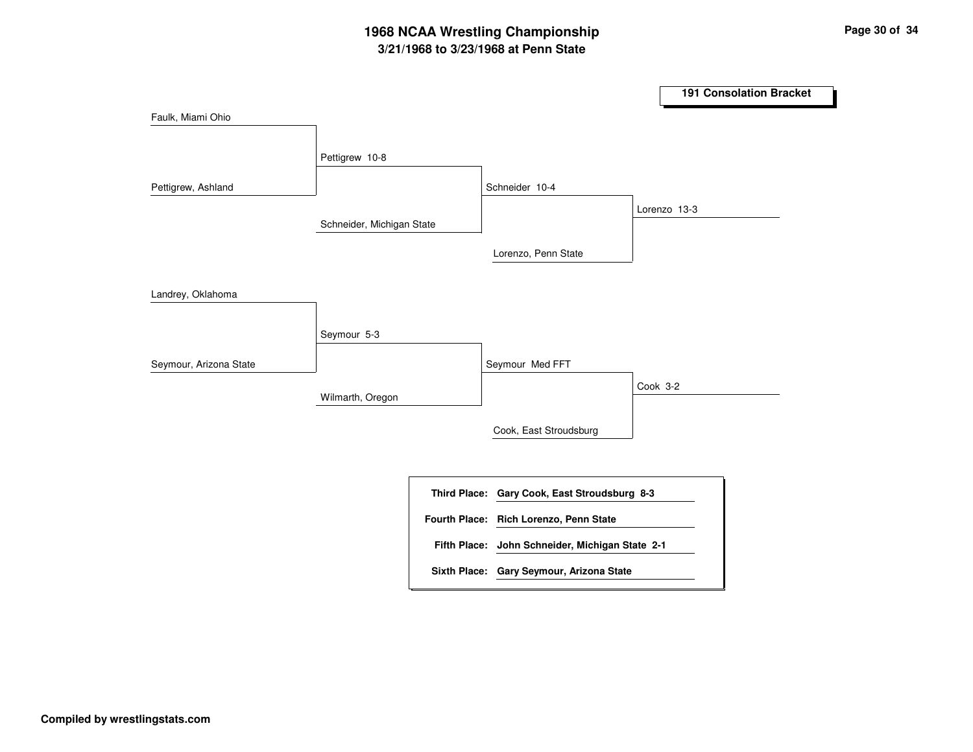|                        |                           |                                                 | <b>191 Consolation Bracket</b> |
|------------------------|---------------------------|-------------------------------------------------|--------------------------------|
| Faulk, Miami Ohio      |                           |                                                 |                                |
|                        | Pettigrew 10-8            |                                                 |                                |
| Pettigrew, Ashland     |                           | Schneider 10-4                                  |                                |
|                        | Schneider, Michigan State |                                                 | Lorenzo 13-3                   |
|                        |                           | Lorenzo, Penn State                             |                                |
| Landrey, Oklahoma      |                           |                                                 |                                |
|                        | Seymour 5-3               |                                                 |                                |
| Seymour, Arizona State |                           | Seymour Med FFT                                 |                                |
|                        | Wilmarth, Oregon          |                                                 | Cook 3-2                       |
|                        |                           | Cook, East Stroudsburg                          |                                |
|                        |                           |                                                 |                                |
|                        |                           | Third Place: Gary Cook, East Stroudsburg 8-3    |                                |
|                        |                           | Fourth Place: Rich Lorenzo, Penn State          |                                |
|                        |                           | Fifth Place: John Schneider, Michigan State 2-1 |                                |
|                        |                           | Sixth Place: Gary Seymour, Arizona State        |                                |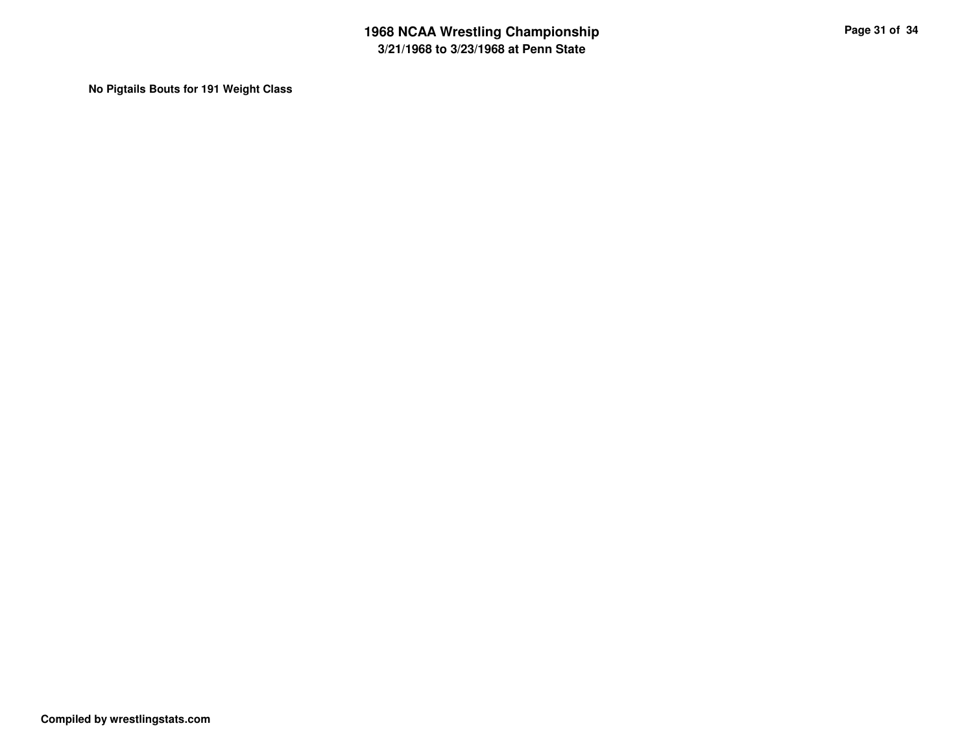**No Pigtails Bouts for 191 Weight Class**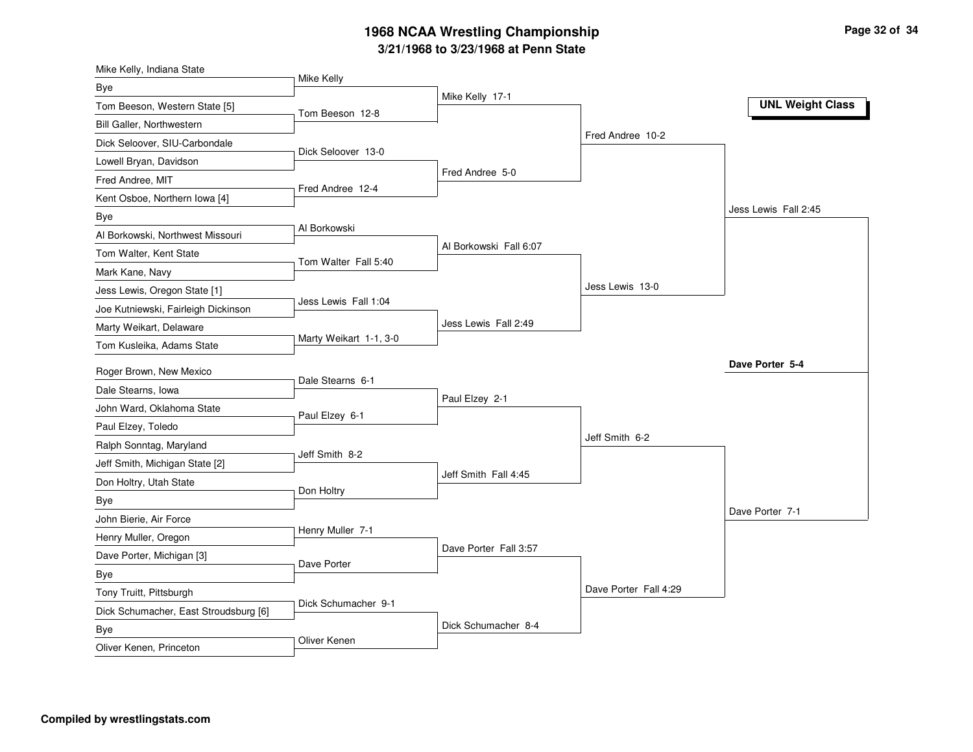| Mike Kelly, Indiana State                    |                        |                        |                       |                         |
|----------------------------------------------|------------------------|------------------------|-----------------------|-------------------------|
| Bye                                          | Mike Kelly             |                        |                       |                         |
| Tom Beeson, Western State [5]                | Tom Beeson 12-8        | Mike Kelly 17-1        |                       | <b>UNL Weight Class</b> |
| Bill Galler, Northwestern                    |                        |                        |                       |                         |
| Dick Seloover, SIU-Carbondale                |                        |                        | Fred Andree 10-2      |                         |
| Lowell Bryan, Davidson                       | Dick Seloover 13-0     |                        |                       |                         |
| Fred Andree, MIT                             |                        | Fred Andree 5-0        |                       |                         |
| Kent Osboe, Northern Iowa [4]                | Fred Andree 12-4       |                        |                       |                         |
| <b>Bye</b>                                   |                        |                        |                       | Jess Lewis Fall 2:45    |
| Al Borkowski, Northwest Missouri             | Al Borkowski           |                        |                       |                         |
| Tom Walter, Kent State                       | Tom Walter Fall 5:40   | Al Borkowski Fall 6:07 |                       |                         |
| Mark Kane, Navy                              |                        |                        |                       |                         |
| Jess Lewis, Oregon State [1]                 |                        |                        | Jess Lewis 13-0       |                         |
| Joe Kutniewski, Fairleigh Dickinson          | Jess Lewis Fall 1:04   |                        |                       |                         |
| Marty Weikart, Delaware                      |                        | Jess Lewis Fall 2:49   |                       |                         |
| Tom Kusleika, Adams State                    | Marty Weikart 1-1, 3-0 |                        |                       |                         |
| Roger Brown, New Mexico                      |                        |                        |                       | Dave Porter 5-4         |
| Dale Stearns, Iowa                           | Dale Stearns 6-1       |                        |                       |                         |
| John Ward, Oklahoma State                    |                        | Paul Elzey 2-1         |                       |                         |
| Paul Elzey, Toledo                           | Paul Elzey 6-1         |                        |                       |                         |
| Ralph Sonntag, Maryland                      |                        |                        | Jeff Smith 6-2        |                         |
| Jeff Smith, Michigan State [2]               | Jeff Smith 8-2         |                        |                       |                         |
| Don Holtry, Utah State                       |                        | Jeff Smith Fall 4:45   |                       |                         |
| <b>Bye</b>                                   | Don Holtry             |                        |                       |                         |
| John Bierie, Air Force                       |                        |                        |                       | Dave Porter 7-1         |
| Henry Muller, Oregon                         | Henry Muller 7-1       |                        |                       |                         |
| Dave Porter, Michigan [3]                    |                        | Dave Porter Fall 3:57  |                       |                         |
| <b>Bye</b>                                   |                        |                        |                       |                         |
| Tony Truitt, Pittsburgh                      | Dave Porter            |                        |                       |                         |
|                                              |                        |                        | Dave Porter Fall 4:29 |                         |
|                                              | Dick Schumacher 9-1    |                        |                       |                         |
| Dick Schumacher, East Stroudsburg [6]<br>Bye |                        | Dick Schumacher 8-4    |                       |                         |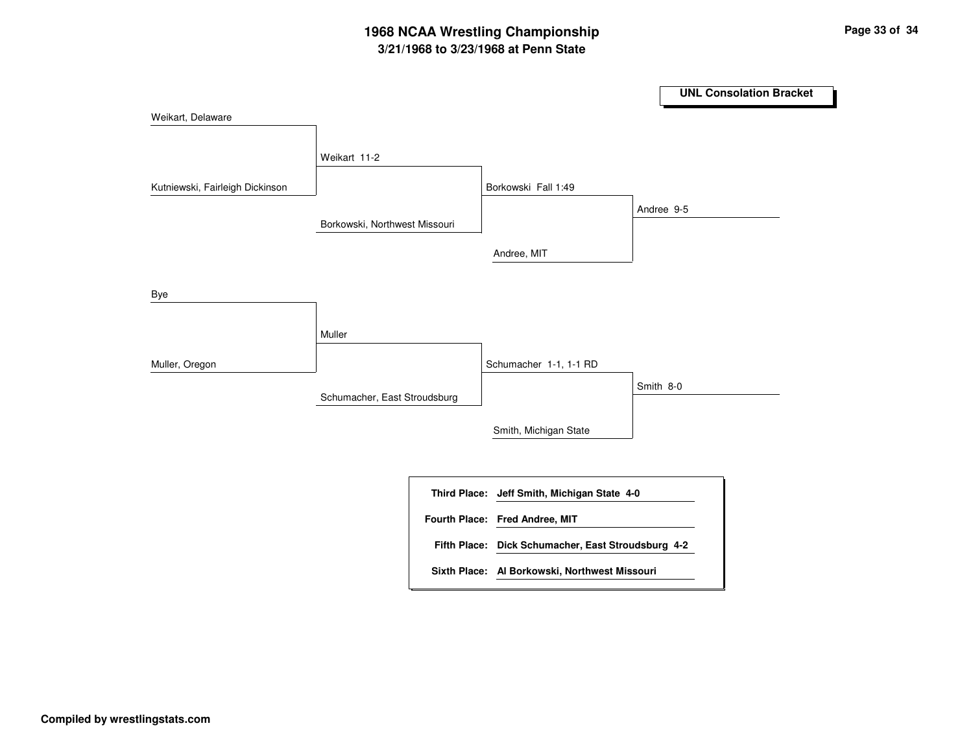